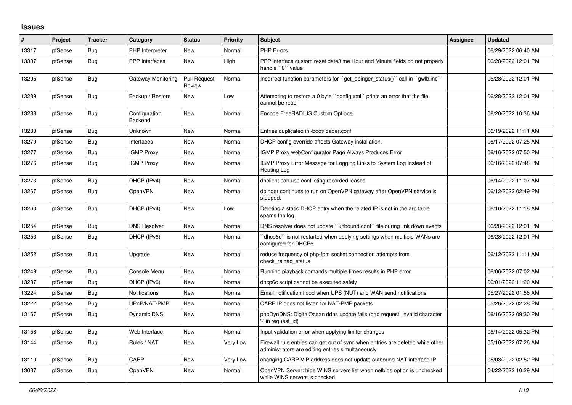## **Issues**

| #     | Project | <b>Tracker</b> | Category                 | <b>Status</b>                 | <b>Priority</b> | <b>Subject</b>                                                                                                                      | Assignee | <b>Updated</b>      |
|-------|---------|----------------|--------------------------|-------------------------------|-----------------|-------------------------------------------------------------------------------------------------------------------------------------|----------|---------------------|
| 13317 | pfSense | Bug            | PHP Interpreter          | <b>New</b>                    | Normal          | <b>PHP Errors</b>                                                                                                                   |          | 06/29/2022 06:40 AM |
| 13307 | pfSense | Bug            | PPP Interfaces           | New                           | High            | PPP interface custom reset date/time Hour and Minute fields do not properly<br>handle "0" value                                     |          | 06/28/2022 12:01 PM |
| 13295 | pfSense | <b>Bug</b>     | Gateway Monitoring       | <b>Pull Request</b><br>Review | Normal          | Incorrect function parameters for "get dpinger status()" call in "gwlb.inc"                                                         |          | 06/28/2022 12:01 PM |
| 13289 | pfSense | <b>Bug</b>     | Backup / Restore         | New                           | Low             | Attempting to restore a 0 byte "config.xml" prints an error that the file<br>cannot be read                                         |          | 06/28/2022 12:01 PM |
| 13288 | pfSense | Bug            | Configuration<br>Backend | New                           | Normal          | Encode FreeRADIUS Custom Options                                                                                                    |          | 06/20/2022 10:36 AM |
| 13280 | pfSense | Bug            | Unknown                  | <b>New</b>                    | Normal          | Entries duplicated in /boot/loader.conf                                                                                             |          | 06/19/2022 11:11 AM |
| 13279 | pfSense | Bug            | Interfaces               | <b>New</b>                    | Normal          | DHCP config override affects Gateway installation.                                                                                  |          | 06/17/2022 07:25 AM |
| 13277 | pfSense | <b>Bug</b>     | <b>IGMP Proxy</b>        | <b>New</b>                    | Normal          | IGMP Proxy webConfigurator Page Always Produces Error                                                                               |          | 06/16/2022 07:50 PM |
| 13276 | pfSense | <b>Bug</b>     | <b>IGMP Proxy</b>        | New                           | Normal          | IGMP Proxy Error Message for Logging Links to System Log Instead of<br>Routing Log                                                  |          | 06/16/2022 07:48 PM |
| 13273 | pfSense | Bug            | DHCP (IPv4)              | <b>New</b>                    | Normal          | dhclient can use conflicting recorded leases                                                                                        |          | 06/14/2022 11:07 AM |
| 13267 | pfSense | Bug            | OpenVPN                  | <b>New</b>                    | Normal          | dpinger continues to run on OpenVPN gateway after OpenVPN service is<br>stopped.                                                    |          | 06/12/2022 02:49 PM |
| 13263 | pfSense | Bug            | DHCP (IPv4)              | <b>New</b>                    | Low             | Deleting a static DHCP entry when the related IP is not in the arp table<br>spams the log                                           |          | 06/10/2022 11:18 AM |
| 13254 | pfSense | Bug            | <b>DNS Resolver</b>      | <b>New</b>                    | Normal          | DNS resolver does not update "unbound.conf" file during link down events                                                            |          | 06/28/2022 12:01 PM |
| 13253 | pfSense | Bug            | DHCP (IPv6)              | New                           | Normal          | dhcp6c` is not restarted when applying settings when multiple WANs are<br>configured for DHCP6                                      |          | 06/28/2022 12:01 PM |
| 13252 | pfSense | Bug            | Upgrade                  | New                           | Normal          | reduce frequency of php-fpm socket connection attempts from<br>check reload status                                                  |          | 06/12/2022 11:11 AM |
| 13249 | pfSense | Bug            | Console Menu             | New                           | Normal          | Running playback comands multiple times results in PHP error                                                                        |          | 06/06/2022 07:02 AM |
| 13237 | pfSense | <b>Bug</b>     | DHCP (IPv6)              | <b>New</b>                    | Normal          | dhcp6c script cannot be executed safely                                                                                             |          | 06/01/2022 11:20 AM |
| 13224 | pfSense | <b>Bug</b>     | <b>Notifications</b>     | <b>New</b>                    | Normal          | Email notification flood when UPS (NUT) and WAN send notifications                                                                  |          | 05/27/2022 01:58 AM |
| 13222 | pfSense | <b>Bug</b>     | UPnP/NAT-PMP             | <b>New</b>                    | Normal          | CARP IP does not listen for NAT-PMP packets                                                                                         |          | 05/26/2022 02:28 PM |
| 13167 | pfSense | <b>Bug</b>     | <b>Dynamic DNS</b>       | <b>New</b>                    | Normal          | phpDynDNS: DigitalOcean ddns update fails (bad request, invalid character<br>-' in request_id)                                      |          | 06/16/2022 09:30 PM |
| 13158 | pfSense | Bug            | Web Interface            | <b>New</b>                    | Normal          | Input validation error when applying limiter changes                                                                                |          | 05/14/2022 05:32 PM |
| 13144 | pfSense | Bug            | Rules / NAT              | New                           | Very Low        | Firewall rule entries can get out of sync when entries are deleted while other<br>administrators are editing entries simultaneously |          | 05/10/2022 07:26 AM |
| 13110 | pfSense | <b>Bug</b>     | CARP                     | <b>New</b>                    | Very Low        | changing CARP VIP address does not update outbound NAT interface IP                                                                 |          | 05/03/2022 02:52 PM |
| 13087 | pfSense | Bug            | OpenVPN                  | New                           | Normal          | OpenVPN Server: hide WINS servers list when netbios option is unchecked<br>while WINS servers is checked                            |          | 04/22/2022 10:29 AM |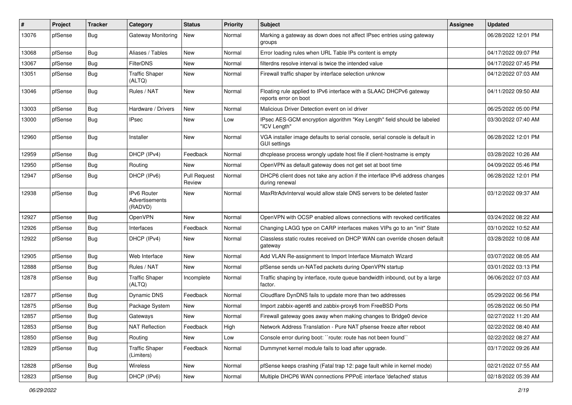| #     | Project | <b>Tracker</b> | Category                                 | <b>Status</b>                 | <b>Priority</b> | <b>Subject</b>                                                                                      | Assignee | <b>Updated</b>      |
|-------|---------|----------------|------------------------------------------|-------------------------------|-----------------|-----------------------------------------------------------------------------------------------------|----------|---------------------|
| 13076 | pfSense | <b>Bug</b>     | <b>Gateway Monitoring</b>                | New                           | Normal          | Marking a gateway as down does not affect IPsec entries using gateway<br>groups                     |          | 06/28/2022 12:01 PM |
| 13068 | pfSense | Bug            | Aliases / Tables                         | <b>New</b>                    | Normal          | Error loading rules when URL Table IPs content is empty                                             |          | 04/17/2022 09:07 PM |
| 13067 | pfSense | <b>Bug</b>     | <b>FilterDNS</b>                         | <b>New</b>                    | Normal          | filterdns resolve interval is twice the intended value                                              |          | 04/17/2022 07:45 PM |
| 13051 | pfSense | <b>Bug</b>     | <b>Traffic Shaper</b><br>(ALTQ)          | <b>New</b>                    | Normal          | Firewall traffic shaper by interface selection unknow                                               |          | 04/12/2022 07:03 AM |
| 13046 | pfSense | Bug            | Rules / NAT                              | New                           | Normal          | Floating rule applied to IPv6 interface with a SLAAC DHCPv6 gateway<br>reports error on boot        |          | 04/11/2022 09:50 AM |
| 13003 | pfSense | Bug            | Hardware / Drivers                       | <b>New</b>                    | Normal          | Malicious Driver Detection event on ixl driver                                                      |          | 06/25/2022 05:00 PM |
| 13000 | pfSense | <b>Bug</b>     | <b>IPsec</b>                             | New                           | Low             | IPsec AES-GCM encryption algorithm "Key Length" field should be labeled<br>"ICV Length"             |          | 03/30/2022 07:40 AM |
| 12960 | pfSense | Bug            | Installer                                | <b>New</b>                    | Normal          | VGA installer image defaults to serial console, serial console is default in<br><b>GUI settings</b> |          | 06/28/2022 12:01 PM |
| 12959 | pfSense | Bug            | DHCP (IPv4)                              | Feedback                      | Normal          | dhcplease process wrongly update host file if client-hostname is empty                              |          | 03/28/2022 10:26 AM |
| 12950 | pfSense | Bug            | Routing                                  | <b>New</b>                    | Normal          | OpenVPN as default gateway does not get set at boot time                                            |          | 04/09/2022 05:46 PM |
| 12947 | pfSense | <b>Bug</b>     | DHCP (IPv6)                              | <b>Pull Request</b><br>Review | Normal          | DHCP6 client does not take any action if the interface IPv6 address changes<br>during renewal       |          | 06/28/2022 12:01 PM |
| 12938 | pfSense | Bug            | IPv6 Router<br>Advertisements<br>(RADVD) | <b>New</b>                    | Normal          | MaxRtrAdvInterval would allow stale DNS servers to be deleted faster                                |          | 03/12/2022 09:37 AM |
| 12927 | pfSense | Bug            | OpenVPN                                  | <b>New</b>                    | Normal          | OpenVPN with OCSP enabled allows connections with revoked certificates                              |          | 03/24/2022 08:22 AM |
| 12926 | pfSense | Bug            | Interfaces                               | Feedback                      | Normal          | Changing LAGG type on CARP interfaces makes VIPs go to an "init" State                              |          | 03/10/2022 10:52 AM |
| 12922 | pfSense | i Bug          | DHCP (IPv4)                              | New                           | Normal          | Classless static routes received on DHCP WAN can override chosen default<br>gateway                 |          | 03/28/2022 10:08 AM |
| 12905 | pfSense | Bug            | Web Interface                            | <b>New</b>                    | Normal          | Add VLAN Re-assignment to Import Interface Mismatch Wizard                                          |          | 03/07/2022 08:05 AM |
| 12888 | pfSense | <b>Bug</b>     | Rules / NAT                              | <b>New</b>                    | Normal          | pfSense sends un-NATed packets during OpenVPN startup                                               |          | 03/01/2022 03:13 PM |
| 12878 | pfSense | <b>Bug</b>     | <b>Traffic Shaper</b><br>(ALTQ)          | Incomplete                    | Normal          | Traffic shaping by interface, route queue bandwidth inbound, out by a large<br>factor.              |          | 06/06/2022 07:03 AM |
| 12877 | pfSense | Bug            | <b>Dynamic DNS</b>                       | Feedback                      | Normal          | Cloudflare DynDNS fails to update more than two addresses                                           |          | 05/29/2022 06:56 PM |
| 12875 | pfSense | <b>Bug</b>     | Package System                           | New                           | Normal          | Import zabbix-agent6 and zabbix-proxy6 from FreeBSD Ports                                           |          | 05/28/2022 06:50 PM |
| 12857 | pfSense | <b>Bug</b>     | Gateways                                 | <b>New</b>                    | Normal          | Firewall gateway goes away when making changes to Bridge0 device                                    |          | 02/27/2022 11:20 AM |
| 12853 | pfSense | <b>Bug</b>     | <b>NAT Reflection</b>                    | Feedback                      | High            | Network Address Translation - Pure NAT pfsense freeze after reboot                                  |          | 02/22/2022 08:40 AM |
| 12850 | pfSense | <b>Bug</b>     | Routing                                  | New                           | Low             | Console error during boot: "route: route has not been found"                                        |          | 02/22/2022 08:27 AM |
| 12829 | pfSense | Bug            | <b>Traffic Shaper</b><br>(Limiters)      | Feedback                      | Normal          | Dummynet kernel module fails to load after upgrade.                                                 |          | 03/17/2022 09:26 AM |
| 12828 | pfSense | Bug            | Wireless                                 | New                           | Normal          | pfSense keeps crashing (Fatal trap 12: page fault while in kernel mode)                             |          | 02/21/2022 07:55 AM |
| 12823 | pfSense | <b>Bug</b>     | DHCP (IPv6)                              | New                           | Normal          | Multiple DHCP6 WAN connections PPPoE interface 'defached' status                                    |          | 02/18/2022 05:39 AM |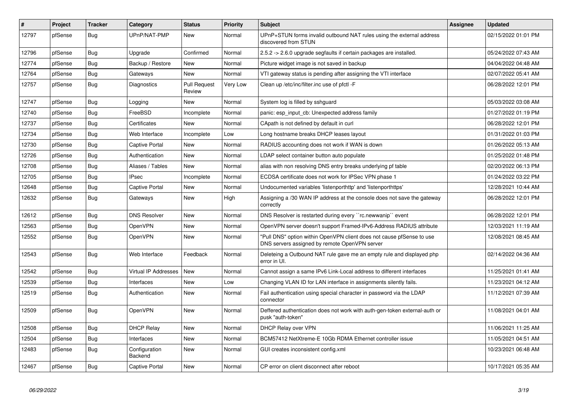| $\vert$ # | Project | <b>Tracker</b> | Category                 | <b>Status</b>                 | <b>Priority</b> | <b>Subject</b>                                                                                                         | <b>Assignee</b> | <b>Updated</b>      |
|-----------|---------|----------------|--------------------------|-------------------------------|-----------------|------------------------------------------------------------------------------------------------------------------------|-----------------|---------------------|
| 12797     | pfSense | Bug            | UPnP/NAT-PMP             | New                           | Normal          | UPnP+STUN forms invalid outbound NAT rules using the external address<br>discovered from STUN                          |                 | 02/15/2022 01:01 PM |
| 12796     | pfSense | Bug            | Upgrade                  | Confirmed                     | Normal          | 2.5.2 -> 2.6.0 upgrade segfaults if certain packages are installed.                                                    |                 | 05/24/2022 07:43 AM |
| 12774     | pfSense | <b>Bug</b>     | Backup / Restore         | <b>New</b>                    | Normal          | Picture widget image is not saved in backup                                                                            |                 | 04/04/2022 04:48 AM |
| 12764     | pfSense | <b>Bug</b>     | Gateways                 | <b>New</b>                    | Normal          | VTI gateway status is pending after assigning the VTI interface                                                        |                 | 02/07/2022 05:41 AM |
| 12757     | pfSense | Bug            | Diagnostics              | <b>Pull Request</b><br>Review | Very Low        | Clean up /etc/inc/filter.inc use of pfctl -F                                                                           |                 | 06/28/2022 12:01 PM |
| 12747     | pfSense | <b>Bug</b>     | Logging                  | <b>New</b>                    | Normal          | System log is filled by sshguard                                                                                       |                 | 05/03/2022 03:08 AM |
| 12740     | pfSense | Bug            | FreeBSD                  | Incomplete                    | Normal          | panic: esp input cb: Unexpected address family                                                                         |                 | 01/27/2022 01:19 PM |
| 12737     | pfSense | Bug            | Certificates             | New                           | Normal          | CApath is not defined by default in curl                                                                               |                 | 06/28/2022 12:01 PM |
| 12734     | pfSense | Bug            | Web Interface            | Incomplete                    | Low             | Long hostname breaks DHCP leases layout                                                                                |                 | 01/31/2022 01:03 PM |
| 12730     | pfSense | <b>Bug</b>     | Captive Portal           | <b>New</b>                    | Normal          | RADIUS accounting does not work if WAN is down                                                                         |                 | 01/26/2022 05:13 AM |
| 12726     | pfSense | <b>Bug</b>     | Authentication           | New                           | Normal          | LDAP select container button auto populate                                                                             |                 | 01/25/2022 01:48 PM |
| 12708     | pfSense | Bug            | Aliases / Tables         | <b>New</b>                    | Normal          | alias with non resolving DNS entry breaks underlying pf table                                                          |                 | 02/20/2022 06:13 PM |
| 12705     | pfSense | Bug            | <b>IPsec</b>             | Incomplete                    | Normal          | ECDSA certificate does not work for IPSec VPN phase 1                                                                  |                 | 01/24/2022 03:22 PM |
| 12648     | pfSense | <b>Bug</b>     | Captive Portal           | <b>New</b>                    | Normal          | Undocumented variables 'listenporthttp' and 'listenporthttps'                                                          |                 | 12/28/2021 10:44 AM |
| 12632     | pfSense | Bug            | Gateways                 | New                           | High            | Assigning a /30 WAN IP address at the console does not save the gateway<br>correctly                                   |                 | 06/28/2022 12:01 PM |
| 12612     | pfSense | <b>Bug</b>     | <b>DNS Resolver</b>      | New                           | Normal          | DNS Resolver is restarted during every "rc.newwanip" event                                                             |                 | 06/28/2022 12:01 PM |
| 12563     | pfSense | <b>Bug</b>     | OpenVPN                  | New                           | Normal          | OpenVPN server doesn't support Framed-IPv6-Address RADIUS attribute                                                    |                 | 12/03/2021 11:19 AM |
| 12552     | pfSense | <b>Bug</b>     | OpenVPN                  | New                           | Normal          | 'Pull DNS" option within OpenVPN client does not cause pfSense to use<br>DNS servers assigned by remote OpenVPN server |                 | 12/08/2021 08:45 AM |
| 12543     | pfSense | <b>Bug</b>     | Web Interface            | Feedback                      | Normal          | Deleteing a Outbound NAT rule gave me an empty rule and displayed php<br>error in UI.                                  |                 | 02/14/2022 04:36 AM |
| 12542     | pfSense | <b>Bug</b>     | Virtual IP Addresses     | <b>New</b>                    | Normal          | Cannot assign a same IPv6 Link-Local address to different interfaces                                                   |                 | 11/25/2021 01:41 AM |
| 12539     | pfSense | <b>Bug</b>     | Interfaces               | <b>New</b>                    | Low             | Changing VLAN ID for LAN interface in assignments silently fails.                                                      |                 | 11/23/2021 04:12 AM |
| 12519     | pfSense | <b>Bug</b>     | Authentication           | <b>New</b>                    | Normal          | Fail authentication using special character in password via the LDAP<br>connector                                      |                 | 11/12/2021 07:39 AM |
| 12509     | pfSense | Bug            | OpenVPN                  | <b>New</b>                    | Normal          | Deffered authentication does not work with auth-gen-token external-auth or<br>pusk "auth-token"                        |                 | 11/08/2021 04:01 AM |
| 12508     | pfSense | <b>Bug</b>     | <b>DHCP Relay</b>        | New                           | Normal          | DHCP Relay over VPN                                                                                                    |                 | 11/06/2021 11:25 AM |
| 12504     | pfSense | <b>Bug</b>     | Interfaces               | <b>New</b>                    | Normal          | BCM57412 NetXtreme-E 10Gb RDMA Ethernet controller issue                                                               |                 | 11/05/2021 04:51 AM |
| 12483     | pfSense | Bug            | Configuration<br>Backend | New                           | Normal          | GUI creates inconsistent config.xml                                                                                    |                 | 10/23/2021 06:48 AM |
| 12467     | pfSense | Bug            | Captive Portal           | New                           | Normal          | CP error on client disconnect after reboot                                                                             |                 | 10/17/2021 05:35 AM |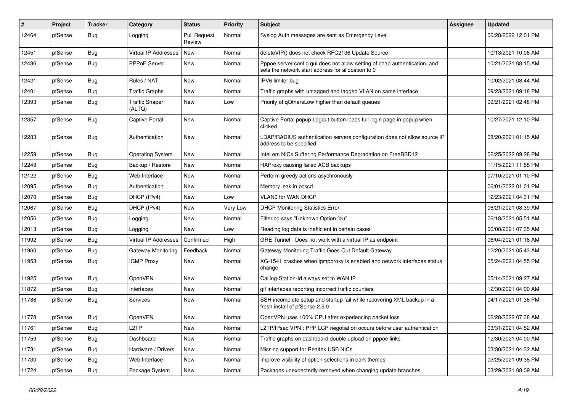| $\vert$ # | Project | <b>Tracker</b> | Category                        | <b>Status</b>                 | <b>Priority</b> | <b>Subject</b>                                                                                                                   | Assignee | <b>Updated</b>      |
|-----------|---------|----------------|---------------------------------|-------------------------------|-----------------|----------------------------------------------------------------------------------------------------------------------------------|----------|---------------------|
| 12464     | pfSense | <b>Bug</b>     | Logging                         | <b>Pull Request</b><br>Review | Normal          | Syslog Auth messages are sent as Emergency Level                                                                                 |          | 06/28/2022 12:01 PM |
| 12451     | pfSense | Bug            | <b>Virtual IP Addresses</b>     | <b>New</b>                    | Normal          | deleteVIP() does not check RFC2136 Update Source                                                                                 |          | 10/13/2021 10:06 AM |
| 12436     | pfSense | <b>Bug</b>     | PPPoE Server                    | New                           | Normal          | Pppoe server config gui does not allow setting of chap authentication, and<br>sets the network start address for allocation to 0 |          | 10/21/2021 08:15 AM |
| 12421     | pfSense | <b>Bug</b>     | Rules / NAT                     | New                           | Normal          | IPV6 limiter bug                                                                                                                 |          | 10/02/2021 08:44 AM |
| 12401     | pfSense | <b>Bug</b>     | <b>Traffic Graphs</b>           | New                           | Normal          | Traffic graphs with untagged and tagged VLAN on same interface                                                                   |          | 09/23/2021 09:18 PM |
| 12393     | pfSense | Bug            | <b>Traffic Shaper</b><br>(ALTQ) | New                           | Low             | Priority of qOthersLow higher than default queues                                                                                |          | 09/21/2021 02:48 PM |
| 12357     | pfSense | <b>Bug</b>     | <b>Captive Portal</b>           | New                           | Normal          | Captive Portal popup Logout button loads full login page in popup when<br>clicked                                                |          | 10/27/2021 12:10 PM |
| 12283     | pfSense | <b>Bug</b>     | Authentication                  | New                           | Normal          | LDAP/RADIUS authentication servers configuration does not allow source IP<br>address to be specified                             |          | 08/20/2021 01:15 AM |
| 12259     | pfSense | Bug            | <b>Operating System</b>         | New                           | Normal          | Intel em NICs Suffering Performance Degradation on FreeBSD12                                                                     |          | 02/25/2022 09:28 PM |
| 12249     | pfSense | <b>Bug</b>     | Backup / Restore                | New                           | Normal          | HAProxy causing failed ACB backups                                                                                               |          | 11/15/2021 11:58 PM |
| 12122     | pfSense | <b>Bug</b>     | Web Interface                   | <b>New</b>                    | Normal          | Perform greedy actions asychronously                                                                                             |          | 07/10/2021 01:10 PM |
| 12095     | pfSense | <b>Bug</b>     | Authentication                  | <b>New</b>                    | Normal          | Memory leak in pcscd                                                                                                             |          | 06/01/2022 01:01 PM |
| 12070     | pfSense | Bug            | DHCP (IPv4)                     | New                           | Low             | VLAN0 for WAN DHCP                                                                                                               |          | 12/23/2021 04:31 PM |
| 12067     | pfSense | i Bug          | DHCP (IPv4)                     | New                           | Very Low        | <b>DHCP Monitoring Statistics Error</b>                                                                                          |          | 06/21/2021 08:39 AM |
| 12056     | pfSense | <b>Bug</b>     | Logging                         | New                           | Normal          | Filterlog says "Unknown Option %u"                                                                                               |          | 06/18/2021 05:51 AM |
| 12013     | pfSense | Bug            | Logging                         | New                           | Low             | Reading log data is inefficient in certain cases                                                                                 |          | 06/08/2021 07:35 AM |
| 11992     | pfSense | <b>Bug</b>     | Virtual IP Addresses            | Confirmed                     | High            | GRE Tunnel - Does not work with a virtual IP as endpoint                                                                         |          | 06/04/2021 01:16 AM |
| 11960     | pfSense | <b>Bug</b>     | <b>Gateway Monitoring</b>       | Feedback                      | Normal          | Gateway Monitoring Traffic Goes Out Default Gateway                                                                              |          | 12/20/2021 05:43 AM |
| 11953     | pfSense | <b>Bug</b>     | <b>IGMP Proxy</b>               | New                           | Normal          | XG-1541 crashes when igmpproxy is enabled and network interfaces status<br>change                                                |          | 05/24/2021 04:55 PM |
| 11925     | pfSense | <b>Bug</b>     | OpenVPN                         | New                           | Normal          | Calling-Station-Id always set to WAN IP                                                                                          |          | 05/14/2021 09:27 AM |
| 11872     | pfSense | <b>Bug</b>     | Interfaces                      | New                           | Normal          | gif interfaces reporting incorrect traffic counters                                                                              |          | 12/30/2021 04:00 AM |
| 11786     | pfSense | <b>Bug</b>     | Services                        | New                           | Normal          | SSH incomplete setup and startup fail while recovering XML backup in a<br>fresh install of pfSense 2.5.0                         |          | 04/17/2021 01:36 PM |
| 11778     | pfSense | Bug            | OpenVPN                         | New                           | Normal          | OpenVPN uses 100% CPU after experiencing packet loss                                                                             |          | 02/28/2022 07:38 AM |
| 11761     | pfSense | <b>Bug</b>     | L <sub>2</sub> TP               | New                           | Normal          | L2TP/IPsec VPN : PPP LCP negotiation occurs before user authentication                                                           |          | 03/31/2021 04:52 AM |
| 11759     | pfSense | <b>Bug</b>     | Dashboard                       | New                           | Normal          | Traffic graphs on dashboard double upload on pppoe links                                                                         |          | 12/30/2021 04:00 AM |
| 11731     | pfSense | Bug            | Hardware / Drivers              | New                           | Normal          | Missing support for Realtek USB NICs                                                                                             |          | 03/30/2021 04:32 AM |
| 11730     | pfSense | <b>Bug</b>     | Web Interface                   | New                           | Normal          | Improve visibility of option selections in dark themes                                                                           |          | 03/25/2021 09:38 PM |
| 11724     | pfSense | Bug            | Package System                  | New                           | Normal          | Packages unexpectedly removed when changing update branches                                                                      |          | 03/29/2021 08:09 AM |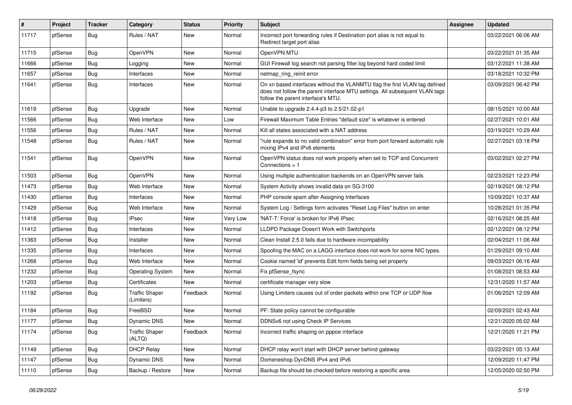| #     | Project | <b>Tracker</b> | Category                            | <b>Status</b> | <b>Priority</b> | <b>Subject</b>                                                                                                                                                                                  | <b>Assignee</b> | <b>Updated</b>      |
|-------|---------|----------------|-------------------------------------|---------------|-----------------|-------------------------------------------------------------------------------------------------------------------------------------------------------------------------------------------------|-----------------|---------------------|
| 11717 | pfSense | Bug            | Rules / NAT                         | New           | Normal          | Incorrect port forwarding rules if Destination port alias is not equal to<br>Redirect target port alias                                                                                         |                 | 03/22/2021 06:06 AM |
| 11715 | pfSense | Bug            | OpenVPN                             | New           | Normal          | OpenVPN MTU                                                                                                                                                                                     |                 | 03/22/2021 01:35 AM |
| 11666 | pfSense | <b>Bug</b>     | Logging                             | New           | Normal          | GUI Firewall log search not parsing filter.log beyond hard coded limit                                                                                                                          |                 | 03/12/2021 11:38 AM |
| 11657 | pfSense | Bug            | Interfaces                          | New           | Normal          | netmap_ring_reinit error                                                                                                                                                                        |                 | 03/18/2021 10:32 PM |
| 11641 | pfSense | Bug            | Interfaces                          | <b>New</b>    | Normal          | On xn based interfaces without the VLANMTU flag the first VLAN tag defined<br>does not follow the parent interface MTU settings. All subsequent VLAN tags<br>follow the parent interface's MTU. |                 | 03/09/2021 06:42 PM |
| 11619 | pfSense | Bug            | Upgrade                             | New           | Normal          | Unable to upgrade 2.4.4-p3 to 2.5/21.02-p1                                                                                                                                                      |                 | 08/15/2021 10:00 AM |
| 11566 | pfSense | Bug            | Web Interface                       | New           | Low             | Firewall Maximum Table Entries "default size" is whatever is entered                                                                                                                            |                 | 02/27/2021 10:01 AM |
| 11556 | pfSense | <b>Bug</b>     | Rules / NAT                         | New           | Normal          | Kill all states associated with a NAT address                                                                                                                                                   |                 | 03/19/2021 10:29 AM |
| 11548 | pfSense | <b>Bug</b>     | Rules / NAT                         | <b>New</b>    | Normal          | "rule expands to no valid combination" error from port forward automatic rule<br>mixing IPv4 and IPv6 elements                                                                                  |                 | 02/27/2021 03:18 PM |
| 11541 | pfSense | Bug            | OpenVPN                             | <b>New</b>    | Normal          | OpenVPN status does not work properly when set to TCP and Concurrent<br>Connections $= 1$                                                                                                       |                 | 03/02/2021 02:27 PM |
| 11503 | pfSense | Bug            | OpenVPN                             | <b>New</b>    | Normal          | Using multiple authentication backends on an OpenVPN server fails                                                                                                                               |                 | 02/23/2021 12:23 PM |
| 11473 | pfSense | Bug            | Web Interface                       | New           | Normal          | System Activity shows invalid data on SG-3100                                                                                                                                                   |                 | 02/19/2021 08:12 PM |
| 11430 | pfSense | <b>Bug</b>     | Interfaces                          | New           | Normal          | PHP console spam after Assigning Interfaces                                                                                                                                                     |                 | 10/09/2021 10:37 AM |
| 11429 | pfSense | Bug            | Web Interface                       | New           | Normal          | System Log / Settings form activates "Reset Log Files" button on enter                                                                                                                          |                 | 10/28/2021 01:35 PM |
| 11418 | pfSense | <b>Bug</b>     | <b>IPsec</b>                        | New           | Very Low        | 'NAT-T: Force' is broken for IPv6 IPsec                                                                                                                                                         |                 | 02/16/2021 08:25 AM |
| 11412 | pfSense | Bug            | Interfaces                          | New           | Normal          | LLDPD Package Doesn't Work with Switchports                                                                                                                                                     |                 | 02/12/2021 08:12 PM |
| 11363 | pfSense | <b>Bug</b>     | Installer                           | New           | Normal          | Clean Install 2.5.0 fails due to hardware incompability                                                                                                                                         |                 | 02/04/2021 11:06 AM |
| 11335 | pfSense | Bug            | Interfaces                          | New           | Normal          | Spoofing the MAC on a LAGG interface does not work for some NIC types.                                                                                                                          |                 | 01/29/2021 09:10 AM |
| 11268 | pfSense | <b>Bug</b>     | Web Interface                       | New           | Normal          | Cookie named 'id' prevents Edit form fields being set properly                                                                                                                                  |                 | 09/03/2021 06:16 AM |
| 11232 | pfSense | Bug            | <b>Operating System</b>             | New           | Normal          | Fix pfSense_fsync                                                                                                                                                                               |                 | 01/08/2021 08:53 AM |
| 11203 | pfSense | <b>Bug</b>     | Certificates                        | New           | Normal          | certificate manager very slow                                                                                                                                                                   |                 | 12/31/2020 11:57 AM |
| 11192 | pfSense | Bug            | <b>Traffic Shaper</b><br>(Limiters) | Feedback      | Normal          | Using Limiters causes out of order packets within one TCP or UDP flow                                                                                                                           |                 | 01/06/2021 12:09 AM |
| 11184 | pfSense | Bug            | FreeBSD                             | <b>New</b>    | Normal          | PF: State policy cannot be configurable                                                                                                                                                         |                 | 02/09/2021 02:43 AM |
| 11177 | pfSense | i Bug          | Dynamic DNS                         | New           | Normal          | DDNSv6 not using Check IP Services                                                                                                                                                              |                 | 12/21/2020 05:02 AM |
| 11174 | pfSense | <b>Bug</b>     | <b>Traffic Shaper</b><br>(ALTQ)     | Feedback      | Normal          | Incorrect traffic shaping on pppoe interface                                                                                                                                                    |                 | 12/21/2020 11:21 PM |
| 11149 | pfSense | <b>Bug</b>     | <b>DHCP Relay</b>                   | New           | Normal          | DHCP relay won't start with DHCP server behind gateway                                                                                                                                          |                 | 03/22/2021 05:13 AM |
| 11147 | pfSense | Bug            | Dynamic DNS                         | New           | Normal          | Domeneshop DynDNS IPv4 and IPv6                                                                                                                                                                 |                 | 12/09/2020 11:47 PM |
| 11110 | pfSense | Bug            | Backup / Restore                    | New           | Normal          | Backup file should be checked before restoring a specific area                                                                                                                                  |                 | 12/05/2020 02:50 PM |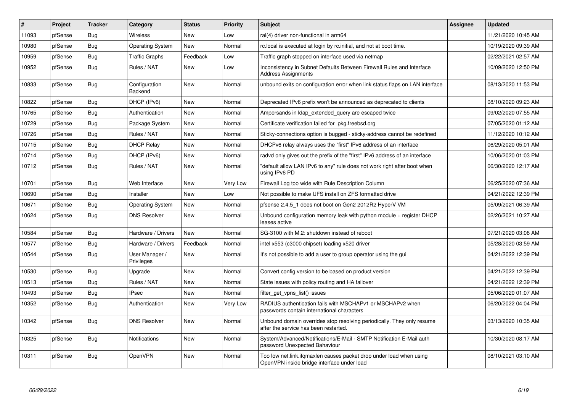| $\vert$ # | Project | <b>Tracker</b> | Category                     | <b>Status</b> | <b>Priority</b> | <b>Subject</b>                                                                                                    | Assignee | <b>Updated</b>      |
|-----------|---------|----------------|------------------------------|---------------|-----------------|-------------------------------------------------------------------------------------------------------------------|----------|---------------------|
| 11093     | pfSense | Bug            | Wireless                     | <b>New</b>    | Low             | ral(4) driver non-functional in arm64                                                                             |          | 11/21/2020 10:45 AM |
| 10980     | pfSense | <b>Bug</b>     | <b>Operating System</b>      | <b>New</b>    | Normal          | rc.local is executed at login by rc.initial, and not at boot time.                                                |          | 10/19/2020 09:39 AM |
| 10959     | pfSense | Bug            | Traffic Graphs               | Feedback      | Low             | Traffic graph stopped on interface used via netmap                                                                |          | 02/22/2021 02:57 AM |
| 10952     | pfSense | Bug            | Rules / NAT                  | New           | Low             | Inconsistency in Subnet Defaults Between Firewall Rules and Interface<br>Address Assignments                      |          | 10/09/2020 12:50 PM |
| 10833     | pfSense | <b>Bug</b>     | Configuration<br>Backend     | New           | Normal          | unbound exits on configuration error when link status flaps on LAN interface                                      |          | 08/13/2020 11:53 PM |
| 10822     | pfSense | <b>Bug</b>     | DHCP (IPv6)                  | <b>New</b>    | Normal          | Deprecated IPv6 prefix won't be announced as deprecated to clients                                                |          | 08/10/2020 09:23 AM |
| 10765     | pfSense | <b>Bug</b>     | Authentication               | New           | Normal          | Ampersands in Idap extended query are escaped twice                                                               |          | 09/02/2020 07:55 AM |
| 10729     | pfSense | <b>Bug</b>     | Package System               | New           | Normal          | Certificate verification failed for pkg.freebsd.org                                                               |          | 07/05/2020 01:12 AM |
| 10726     | pfSense | Bug            | Rules / NAT                  | New           | Normal          | Sticky-connections option is bugged - sticky-address cannot be redefined                                          |          | 11/12/2020 10:12 AM |
| 10715     | pfSense | Bug            | <b>DHCP Relay</b>            | New           | Normal          | DHCPv6 relay always uses the "first" IPv6 address of an interface                                                 |          | 06/29/2020 05:01 AM |
| 10714     | pfSense | <b>Bug</b>     | DHCP (IPv6)                  | <b>New</b>    | Normal          | radvd only gives out the prefix of the "first" IPv6 address of an interface                                       |          | 10/06/2020 01:03 PM |
| 10712     | pfSense | <b>Bug</b>     | Rules / NAT                  | New           | Normal          | "default allow LAN IPv6 to any" rule does not work right after boot when<br>using IPv6 PD                         |          | 06/30/2020 12:17 AM |
| 10701     | pfSense | <b>Bug</b>     | Web Interface                | <b>New</b>    | Very Low        | Firewall Log too wide with Rule Description Column                                                                |          | 06/25/2020 07:36 AM |
| 10690     | pfSense | <b>Bug</b>     | Installer                    | New           | Low             | Not possible to make UFS install on ZFS formatted drive                                                           |          | 04/21/2022 12:39 PM |
| 10671     | pfSense | <b>Bug</b>     | <b>Operating System</b>      | <b>New</b>    | Normal          | pfsense 2.4.5 1 does not boot on Gen2 2012R2 HyperV VM                                                            |          | 05/09/2021 06:39 AM |
| 10624     | pfSense | <b>Bug</b>     | <b>DNS Resolver</b>          | New           | Normal          | Unbound configuration memory leak with python module + register DHCP<br>leases active                             |          | 02/26/2021 10:27 AM |
| 10584     | pfSense | Bug            | Hardware / Drivers           | <b>New</b>    | Normal          | SG-3100 with M.2: shutdown instead of reboot                                                                      |          | 07/21/2020 03:08 AM |
| 10577     | pfSense | <b>Bug</b>     | Hardware / Drivers           | Feedback      | Normal          | intel x553 (c3000 chipset) loading x520 driver                                                                    |          | 05/28/2020 03:59 AM |
| 10544     | pfSense | <b>Bug</b>     | User Manager /<br>Privileges | New           | Normal          | It's not possible to add a user to group operator using the gui                                                   |          | 04/21/2022 12:39 PM |
| 10530     | pfSense | <b>Bug</b>     | Upgrade                      | New           | Normal          | Convert config version to be based on product version                                                             |          | 04/21/2022 12:39 PM |
| 10513     | pfSense | <b>Bug</b>     | Rules / NAT                  | New           | Normal          | State issues with policy routing and HA failover                                                                  |          | 04/21/2022 12:39 PM |
| 10493     | pfSense | Bug            | <b>IPsec</b>                 | New           | Normal          | filter get vpns list() issues                                                                                     |          | 05/06/2020 01:07 AM |
| 10352     | pfSense | Bug            | Authentication               | <b>New</b>    | Very Low        | RADIUS authentication fails with MSCHAPv1 or MSCHAPv2 when<br>passwords contain international characters          |          | 06/20/2022 04:04 PM |
| 10342     | pfSense | Bug            | <b>DNS Resolver</b>          | New           | Normal          | Unbound domain overrides stop resolving periodically. They only resume<br>after the service has been restarted.   |          | 03/13/2020 10:35 AM |
| 10325     | pfSense | <b>Bug</b>     | <b>Notifications</b>         | New           | Normal          | System/Advanced/Notifications/E-Mail - SMTP Notification E-Mail auth<br>password Unexpected Bahaviour             |          | 10/30/2020 08:17 AM |
| 10311     | pfSense | <b>Bug</b>     | OpenVPN                      | <b>New</b>    | Normal          | Too low net.link.ifqmaxlen causes packet drop under load when using<br>OpenVPN inside bridge interface under load |          | 08/10/2021 03:10 AM |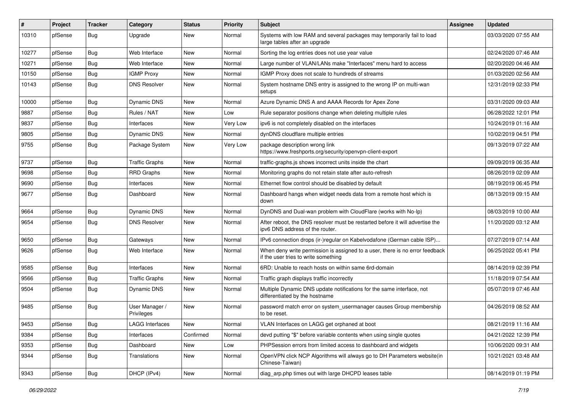| ∦     | Project | <b>Tracker</b> | Category                     | <b>Status</b> | <b>Priority</b> | <b>Subject</b>                                                                                                       | <b>Assignee</b> | <b>Updated</b>      |
|-------|---------|----------------|------------------------------|---------------|-----------------|----------------------------------------------------------------------------------------------------------------------|-----------------|---------------------|
| 10310 | pfSense | Bug            | Upgrade                      | New           | Normal          | Systems with low RAM and several packages may temporarily fail to load<br>large tables after an upgrade              |                 | 03/03/2020 07:55 AM |
| 10277 | pfSense | Bug            | Web Interface                | New           | Normal          | Sorting the log entries does not use year value                                                                      |                 | 02/24/2020 07:46 AM |
| 10271 | pfSense | Bug            | Web Interface                | New           | Normal          | Large number of VLAN/LANs make "Interfaces" menu hard to access                                                      |                 | 02/20/2020 04:46 AM |
| 10150 | pfSense | Bug            | <b>IGMP Proxy</b>            | New           | Normal          | IGMP Proxy does not scale to hundreds of streams                                                                     |                 | 01/03/2020 02:56 AM |
| 10143 | pfSense | Bug            | <b>DNS Resolver</b>          | New           | Normal          | System hostname DNS entry is assigned to the wrong IP on multi-wan<br>setups                                         |                 | 12/31/2019 02:33 PM |
| 10000 | pfSense | Bug            | Dynamic DNS                  | New           | Normal          | Azure Dynamic DNS A and AAAA Records for Apex Zone                                                                   |                 | 03/31/2020 09:03 AM |
| 9887  | pfSense | <b>Bug</b>     | Rules / NAT                  | New           | Low             | Rule separator positions change when deleting multiple rules                                                         |                 | 06/28/2022 12:01 PM |
| 9837  | pfSense | <b>Bug</b>     | Interfaces                   | New           | Very Low        | ipv6 is not completely disabled on the interfaces                                                                    |                 | 10/24/2019 01:16 AM |
| 9805  | pfSense | Bug            | Dynamic DNS                  | New           | Normal          | dynDNS cloudflare multiple entries                                                                                   |                 | 10/02/2019 04:51 PM |
| 9755  | pfSense | Bug            | Package System               | New           | Very Low        | package description wrong link<br>https://www.freshports.org/security/openvpn-client-export                          |                 | 09/13/2019 07:22 AM |
| 9737  | pfSense | Bug            | <b>Traffic Graphs</b>        | New           | Normal          | traffic-graphs is shows incorrect units inside the chart                                                             |                 | 09/09/2019 06:35 AM |
| 9698  | pfSense | Bug            | <b>RRD Graphs</b>            | New           | Normal          | Monitoring graphs do not retain state after auto-refresh                                                             |                 | 08/26/2019 02:09 AM |
| 9690  | pfSense | <b>Bug</b>     | Interfaces                   | New           | Normal          | Ethernet flow control should be disabled by default                                                                  |                 | 08/19/2019 06:45 PM |
| 9677  | pfSense | Bug            | Dashboard                    | New           | Normal          | Dashboard hangs when widget needs data from a remote host which is<br>down                                           |                 | 08/13/2019 09:15 AM |
| 9664  | pfSense | Bug            | Dynamic DNS                  | New           | Normal          | DynDNS and Dual-wan problem with CloudFlare (works with No-Ip)                                                       |                 | 08/03/2019 10:00 AM |
| 9654  | pfSense | Bug            | <b>DNS Resolver</b>          | New           | Normal          | After reboot, the DNS resolver must be restarted before it will advertise the<br>ipv6 DNS address of the router.     |                 | 11/20/2020 03:12 AM |
| 9650  | pfSense | Bug            | Gateways                     | New           | Normal          | IPv6 connection drops (ir-)regular on Kabelvodafone (German cable ISP)                                               |                 | 07/27/2019 07:14 AM |
| 9626  | pfSense | Bug            | Web Interface                | New           | Normal          | When deny write permission is assigned to a user, there is no error feedback<br>if the user tries to write something |                 | 06/25/2022 05:41 PM |
| 9585  | pfSense | Bug            | Interfaces                   | New           | Normal          | 6RD: Unable to reach hosts on within same 6rd-domain                                                                 |                 | 08/14/2019 02:39 PM |
| 9566  | pfSense | Bug            | <b>Traffic Graphs</b>        | New           | Normal          | Traffic graph displays traffic incorrectly                                                                           |                 | 11/18/2019 07:54 AM |
| 9504  | pfSense | Bug            | Dynamic DNS                  | New           | Normal          | Multiple Dynamic DNS update notifications for the same interface, not<br>differentiated by the hostname              |                 | 05/07/2019 07:46 AM |
| 9485  | pfSense | Bug            | User Manager /<br>Privileges | New           | Normal          | password match error on system_usermanager causes Group membership<br>to be reset.                                   |                 | 04/26/2019 08:52 AM |
| 9453  | pfSense | <b>Bug</b>     | <b>LAGG Interfaces</b>       | New           | Normal          | VLAN Interfaces on LAGG get orphaned at boot                                                                         |                 | 08/21/2019 11:16 AM |
| 9384  | pfSense | Bug            | Interfaces                   | Confirmed     | Normal          | devd putting "\$" before variable contents when using single quotes                                                  |                 | 04/21/2022 12:39 PM |
| 9353  | pfSense | <b>Bug</b>     | Dashboard                    | New           | Low             | PHPSession errors from limited access to dashboard and widgets                                                       |                 | 10/06/2020 09:31 AM |
| 9344  | pfSense | <b>Bug</b>     | Translations                 | New           | Normal          | OpenVPN click NCP Algorithms will always go to DH Parameters website(in<br>Chinese-Taiwan)                           |                 | 10/21/2021 03:48 AM |
| 9343  | pfSense | <b>Bug</b>     | DHCP (IPv4)                  | New           | Normal          | diag_arp.php times out with large DHCPD leases table                                                                 |                 | 08/14/2019 01:19 PM |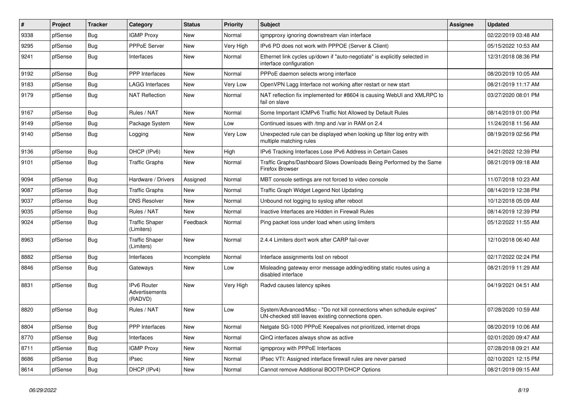| $\vert$ # | Project | <b>Tracker</b> | Category                                 | <b>Status</b> | <b>Priority</b> | <b>Subject</b>                                                                                                               | Assignee | <b>Updated</b>      |
|-----------|---------|----------------|------------------------------------------|---------------|-----------------|------------------------------------------------------------------------------------------------------------------------------|----------|---------------------|
| 9338      | pfSense | <b>Bug</b>     | <b>IGMP Proxy</b>                        | <b>New</b>    | Normal          | igmpproxy ignoring downstream vlan interface                                                                                 |          | 02/22/2019 03:48 AM |
| 9295      | pfSense | <b>Bug</b>     | <b>PPPoE Server</b>                      | <b>New</b>    | Very High       | IPv6 PD does not work with PPPOE (Server & Client)                                                                           |          | 05/15/2022 10:53 AM |
| 9241      | pfSense | <b>Bug</b>     | Interfaces                               | <b>New</b>    | Normal          | Ethernet link cycles up/down if "auto-negotiate" is explicitly selected in<br>interface configuration                        |          | 12/31/2018 08:36 PM |
| 9192      | pfSense | Bug            | PPP Interfaces                           | <b>New</b>    | Normal          | PPPoE daemon selects wrong interface                                                                                         |          | 08/20/2019 10:05 AM |
| 9183      | pfSense | Bug            | <b>LAGG Interfaces</b>                   | <b>New</b>    | Very Low        | OpenVPN Lagg Interface not working after restart or new start                                                                |          | 08/21/2019 11:17 AM |
| 9179      | pfSense | <b>Bug</b>     | <b>NAT Reflection</b>                    | New           | Normal          | NAT reflection fix implemented for #8604 is causing WebUI and XMLRPC to<br>fail on slave                                     |          | 03/27/2020 08:01 PM |
| 9167      | pfSense | Bug            | Rules / NAT                              | <b>New</b>    | Normal          | Some Important ICMPv6 Traffic Not Allowed by Default Rules                                                                   |          | 08/14/2019 01:00 PM |
| 9149      | pfSense | Bug            | Package System                           | <b>New</b>    | Low             | Continued issues with /tmp and /var in RAM on 2.4                                                                            |          | 11/24/2018 11:56 AM |
| 9140      | pfSense | <b>Bug</b>     | Logging                                  | <b>New</b>    | Very Low        | Unexpected rule can be displayed when looking up filter log entry with<br>multiple matching rules                            |          | 08/19/2019 02:56 PM |
| 9136      | pfSense | <b>Bug</b>     | DHCP (IPv6)                              | <b>New</b>    | High            | IPv6 Tracking Interfaces Lose IPv6 Address in Certain Cases                                                                  |          | 04/21/2022 12:39 PM |
| 9101      | pfSense | Bug            | <b>Traffic Graphs</b>                    | <b>New</b>    | Normal          | Traffic Graphs/Dashboard Slows Downloads Being Performed by the Same<br>Firefox Browser                                      |          | 08/21/2019 09:18 AM |
| 9094      | pfSense | Bug            | Hardware / Drivers                       | Assigned      | Normal          | MBT console settings are not forced to video console                                                                         |          | 11/07/2018 10:23 AM |
| 9087      | pfSense | Bug            | <b>Traffic Graphs</b>                    | New           | Normal          | Traffic Graph Widget Legend Not Updating                                                                                     |          | 08/14/2019 12:38 PM |
| 9037      | pfSense | Bug            | <b>DNS Resolver</b>                      | <b>New</b>    | Normal          | Unbound not logging to syslog after reboot                                                                                   |          | 10/12/2018 05:09 AM |
| 9035      | pfSense | Bug            | Rules / NAT                              | <b>New</b>    | Normal          | Inactive Interfaces are Hidden in Firewall Rules                                                                             |          | 08/14/2019 12:39 PM |
| 9024      | pfSense | <b>Bug</b>     | <b>Traffic Shaper</b><br>(Limiters)      | Feedback      | Normal          | Ping packet loss under load when using limiters                                                                              |          | 05/12/2022 11:55 AM |
| 8963      | pfSense | Bug            | <b>Traffic Shaper</b><br>(Limiters)      | <b>New</b>    | Normal          | 2.4.4 Limiters don't work after CARP fail-over                                                                               |          | 12/10/2018 06:40 AM |
| 8882      | pfSense | <b>Bug</b>     | Interfaces                               | Incomplete    | Normal          | Interface assignments lost on reboot                                                                                         |          | 02/17/2022 02:24 PM |
| 8846      | pfSense | <b>Bug</b>     | Gateways                                 | New           | Low             | Misleading gateway error message adding/editing static routes using a<br>disabled interface                                  |          | 08/21/2019 11:29 AM |
| 8831      | pfSense | Bug            | IPv6 Router<br>Advertisements<br>(RADVD) | <b>New</b>    | Very High       | Radvd causes latency spikes                                                                                                  |          | 04/19/2021 04:51 AM |
| 8820      | pfSense | Bug            | Rules / NAT                              | <b>New</b>    | Low             | System/Advanced/Misc - "Do not kill connections when schedule expires"<br>UN-checked still leaves existing connections open. |          | 07/28/2020 10:59 AM |
| 8804      | pfSense | <b>Bug</b>     | PPP Interfaces                           | New           | Normal          | Netgate SG-1000 PPPoE Keepalives not prioritized, internet drops                                                             |          | 08/20/2019 10:06 AM |
| 8770      | pfSense | <b>Bug</b>     | Interfaces                               | New           | Normal          | QinQ interfaces always show as active                                                                                        |          | 02/01/2020 09:47 AM |
| 8711      | pfSense | <b>Bug</b>     | <b>IGMP Proxy</b>                        | New           | Normal          | igmpproxy with PPPoE Interfaces                                                                                              |          | 07/28/2018 09:21 AM |
| 8686      | pfSense | <b>Bug</b>     | IPsec                                    | New           | Normal          | IPsec VTI: Assigned interface firewall rules are never parsed                                                                |          | 02/10/2021 12:15 PM |
| 8614      | pfSense | Bug            | DHCP (IPv4)                              | New           | Normal          | Cannot remove Additional BOOTP/DHCP Options                                                                                  |          | 08/21/2019 09:15 AM |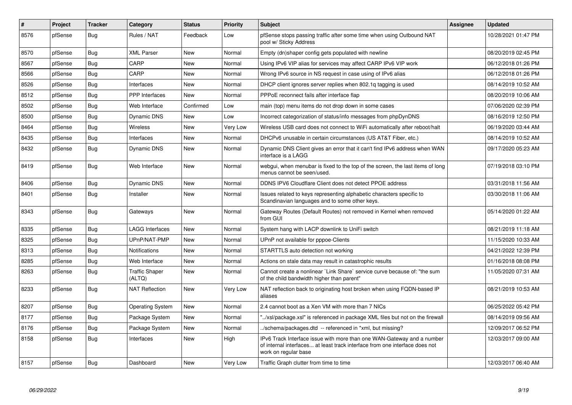| #    | Project | <b>Tracker</b> | Category                        | <b>Status</b> | <b>Priority</b> | <b>Subject</b>                                                                                                                                                                | Assignee | <b>Updated</b>      |
|------|---------|----------------|---------------------------------|---------------|-----------------|-------------------------------------------------------------------------------------------------------------------------------------------------------------------------------|----------|---------------------|
| 8576 | pfSense | <b>Bug</b>     | Rules / NAT                     | Feedback      | Low             | pfSense stops passing traffic after some time when using Outbound NAT<br>pool w/ Sticky Address                                                                               |          | 10/28/2021 01:47 PM |
| 8570 | pfSense | Bug            | <b>XML Parser</b>               | <b>New</b>    | Normal          | Empty (dn)shaper config gets populated with newline                                                                                                                           |          | 08/20/2019 02:45 PM |
| 8567 | pfSense | <b>Bug</b>     | CARP                            | <b>New</b>    | Normal          | Using IPv6 VIP alias for services may affect CARP IPv6 VIP work                                                                                                               |          | 06/12/2018 01:26 PM |
| 8566 | pfSense | <b>Bug</b>     | CARP                            | <b>New</b>    | Normal          | Wrong IPv6 source in NS request in case using of IPv6 alias                                                                                                                   |          | 06/12/2018 01:26 PM |
| 8526 | pfSense | Bug            | Interfaces                      | New           | Normal          | DHCP client ignores server replies when 802.1g tagging is used                                                                                                                |          | 08/14/2019 10:52 AM |
| 8512 | pfSense | <b>Bug</b>     | PPP Interfaces                  | <b>New</b>    | Normal          | PPPoE reconnect fails after interface flap                                                                                                                                    |          | 08/20/2019 10:06 AM |
| 8502 | pfSense | <b>Bug</b>     | Web Interface                   | Confirmed     | Low             | main (top) menu items do not drop down in some cases                                                                                                                          |          | 07/06/2020 02:39 PM |
| 8500 | pfSense | <b>Bug</b>     | <b>Dynamic DNS</b>              | New           | Low             | Incorrect categorization of status/info messages from phpDynDNS                                                                                                               |          | 08/16/2019 12:50 PM |
| 8464 | pfSense | Bug            | <b>Wireless</b>                 | <b>New</b>    | Very Low        | Wireless USB card does not connect to WiFi automatically after reboot/halt                                                                                                    |          | 06/19/2020 03:44 AM |
| 8435 | pfSense | <b>Bug</b>     | Interfaces                      | <b>New</b>    | Normal          | DHCPv6 unusable in certain circumstances (US AT&T Fiber, etc.)                                                                                                                |          | 08/14/2019 10:52 AM |
| 8432 | pfSense | <b>Bug</b>     | Dynamic DNS                     | <b>New</b>    | Normal          | Dynamic DNS Client gives an error that it can't find IPv6 address when WAN<br>interface is a LAGG                                                                             |          | 09/17/2020 05:23 AM |
| 8419 | pfSense | <b>Bug</b>     | Web Interface                   | New           | Normal          | webqui, when menubar is fixed to the top of the screen, the last items of long<br>menus cannot be seen/used.                                                                  |          | 07/19/2018 03:10 PM |
| 8406 | pfSense | <b>Bug</b>     | Dynamic DNS                     | New           | Normal          | DDNS IPV6 Cloudflare Client does not detect PPOE address                                                                                                                      |          | 03/31/2018 11:56 AM |
| 8401 | pfSense | <b>Bug</b>     | Installer                       | <b>New</b>    | Normal          | Issues related to keys representing alphabetic characters specific to<br>Scandinavian languages and to some other keys.                                                       |          | 03/30/2018 11:06 AM |
| 8343 | pfSense | <b>Bug</b>     | Gateways                        | <b>New</b>    | Normal          | Gateway Routes (Default Routes) not removed in Kernel when removed<br>from GUI                                                                                                |          | 05/14/2020 01:22 AM |
| 8335 | pfSense | <b>Bug</b>     | <b>LAGG Interfaces</b>          | New           | Normal          | System hang with LACP downlink to UniFi switch                                                                                                                                |          | 08/21/2019 11:18 AM |
| 8325 | pfSense | Bug            | UPnP/NAT-PMP                    | New           | Normal          | UPnP not available for pppoe-Clients                                                                                                                                          |          | 11/15/2020 10:33 AM |
| 8313 | pfSense | <b>Bug</b>     | <b>Notifications</b>            | <b>New</b>    | Normal          | STARTTLS auto detection not working                                                                                                                                           |          | 04/21/2022 12:39 PM |
| 8285 | pfSense | <b>Bug</b>     | Web Interface                   | <b>New</b>    | Normal          | Actions on stale data may result in catastrophic results                                                                                                                      |          | 01/16/2018 08:08 PM |
| 8263 | pfSense | Bug            | <b>Traffic Shaper</b><br>(ALTQ) | <b>New</b>    | Normal          | Cannot create a nonlinear `Link Share` service curve because of: "the sum<br>of the child bandwidth higher than parent"                                                       |          | 11/05/2020 07:31 AM |
| 8233 | pfSense | Bug            | <b>NAT Reflection</b>           | <b>New</b>    | Very Low        | NAT reflection back to originating host broken when using FQDN-based IP<br>aliases                                                                                            |          | 08/21/2019 10:53 AM |
| 8207 | pfSense | Bug            | <b>Operating System</b>         | New           | Normal          | 2.4 cannot boot as a Xen VM with more than 7 NICs                                                                                                                             |          | 06/25/2022 05:42 PM |
| 8177 | pfSense | <b>Bug</b>     | Package System                  | <b>New</b>    | Normal          | '/xsl/package.xsl" is referenced in package XML files but not on the firewall                                                                                                 |          | 08/14/2019 09:56 AM |
| 8176 | pfSense | Bug            | Package System                  | New           | Normal          | ./schema/packages.dtd -- referenced in *xml, but missing?                                                                                                                     |          | 12/09/2017 06:52 PM |
| 8158 | pfSense | Bug            | Interfaces                      | <b>New</b>    | High            | IPv6 Track Interface issue with more than one WAN-Gateway and a number<br>of internal interfaces at least track interface from one interface does not<br>work on regular base |          | 12/03/2017 09:00 AM |
| 8157 | pfSense | Bug            | Dashboard                       | <b>New</b>    | Very Low        | Traffic Graph clutter from time to time                                                                                                                                       |          | 12/03/2017 06:40 AM |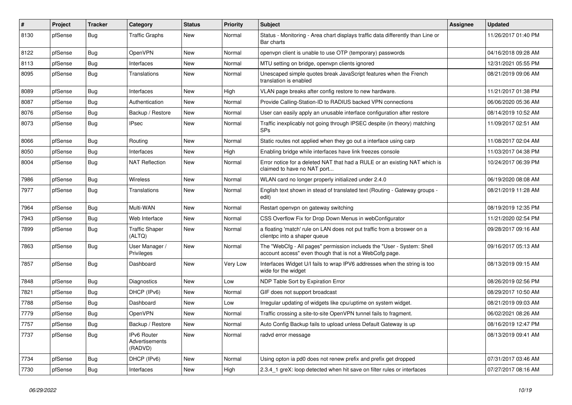| #    | Project | <b>Tracker</b> | Category                                 | <b>Status</b> | <b>Priority</b> | <b>Subject</b>                                                                                                                    | <b>Assignee</b> | <b>Updated</b>      |
|------|---------|----------------|------------------------------------------|---------------|-----------------|-----------------------------------------------------------------------------------------------------------------------------------|-----------------|---------------------|
| 8130 | pfSense | Bug            | <b>Traffic Graphs</b>                    | New           | Normal          | Status - Monitoring - Area chart displays traffic data differently than Line or<br>Bar charts                                     |                 | 11/26/2017 01:40 PM |
| 8122 | pfSense | Bug            | OpenVPN                                  | New           | Normal          | openvpn client is unable to use OTP (temporary) passwords                                                                         |                 | 04/16/2018 09:28 AM |
| 8113 | pfSense | Bug            | Interfaces                               | New           | Normal          | MTU setting on bridge, openypn clients ignored                                                                                    |                 | 12/31/2021 05:55 PM |
| 8095 | pfSense | Bug            | Translations                             | <b>New</b>    | Normal          | Unescaped simple quotes break JavaScript features when the French<br>translation is enabled                                       |                 | 08/21/2019 09:06 AM |
| 8089 | pfSense | Bug            | Interfaces                               | <b>New</b>    | High            | VLAN page breaks after config restore to new hardware.                                                                            |                 | 11/21/2017 01:38 PM |
| 8087 | pfSense | Bug            | Authentication                           | <b>New</b>    | Normal          | Provide Calling-Station-ID to RADIUS backed VPN connections                                                                       |                 | 06/06/2020 05:36 AM |
| 8076 | pfSense | Bug            | Backup / Restore                         | New           | Normal          | User can easily apply an unusable interface configuration after restore                                                           |                 | 08/14/2019 10:52 AM |
| 8073 | pfSense | Bug            | <b>IPsec</b>                             | New           | Normal          | Traffic inexplicably not going through IPSEC despite (in theory) matching<br><b>SPs</b>                                           |                 | 11/09/2017 02:51 AM |
| 8066 | pfSense | Bug            | Routing                                  | New           | Normal          | Static routes not applied when they go out a interface using carp                                                                 |                 | 11/08/2017 02:04 AM |
| 8050 | pfSense | Bug            | Interfaces                               | <b>New</b>    | High            | Enabling bridge while interfaces have link freezes console                                                                        |                 | 11/03/2017 04:38 PM |
| 8004 | pfSense | Bug            | <b>NAT Reflection</b>                    | New           | Normal          | Error notice for a deleted NAT that had a RULE or an existing NAT which is<br>claimed to have no NAT port                         |                 | 10/24/2017 06:39 PM |
| 7986 | pfSense | Bug            | Wireless                                 | <b>New</b>    | Normal          | WLAN card no longer properly initialized under 2.4.0                                                                              |                 | 06/19/2020 08:08 AM |
| 7977 | pfSense | Bug            | Translations                             | New           | Normal          | English text shown in stead of translated text (Routing - Gateway groups -<br>edit)                                               |                 | 08/21/2019 11:28 AM |
| 7964 | pfSense | Bug            | Multi-WAN                                | <b>New</b>    | Normal          | Restart openypn on gateway switching                                                                                              |                 | 08/19/2019 12:35 PM |
| 7943 | pfSense | Bug            | Web Interface                            | New           | Normal          | CSS Overflow Fix for Drop Down Menus in webConfigurator                                                                           |                 | 11/21/2020 02:54 PM |
| 7899 | pfSense | Bug            | <b>Traffic Shaper</b><br>(ALTQ)          | <b>New</b>    | Normal          | a floating 'match' rule on LAN does not put traffic from a broswer on a<br>clientpc into a shaper queue                           |                 | 09/28/2017 09:16 AM |
| 7863 | pfSense | Bug            | User Manager /<br>Privileges             | New           | Normal          | The "WebCfg - All pages" permission inclueds the "User - System: Shell<br>account access" even though that is not a WebCofg page. |                 | 09/16/2017 05:13 AM |
| 7857 | pfSense | <b>Bug</b>     | Dashboard                                | <b>New</b>    | Very Low        | Interfaces Widget U/I fails to wrap IPV6 addresses when the string is too<br>wide for the widget                                  |                 | 08/13/2019 09:15 AM |
| 7848 | pfSense | Bug            | Diagnostics                              | <b>New</b>    | Low             | NDP Table Sort by Expiration Error                                                                                                |                 | 08/26/2019 02:56 PM |
| 7821 | pfSense | Bug            | DHCP (IPv6)                              | <b>New</b>    | Normal          | GIF does not support broadcast                                                                                                    |                 | 08/29/2017 10:50 AM |
| 7788 | pfSense | Bug            | Dashboard                                | <b>New</b>    | Low             | Irregular updating of widgets like cpu/uptime on system widget.                                                                   |                 | 08/21/2019 09:03 AM |
| 7779 | pfSense | Bug            | OpenVPN                                  | New           | Normal          | Traffic crossing a site-to-site OpenVPN tunnel fails to fragment.                                                                 |                 | 06/02/2021 08:26 AM |
| 7757 | pfSense | Bug            | Backup / Restore                         | New           | Normal          | Auto Config Backup fails to upload unless Default Gateway is up                                                                   |                 | 08/16/2019 12:47 PM |
| 7737 | pfSense | <b>Bug</b>     | IPv6 Router<br>Advertisements<br>(RADVD) | New           | Normal          | radvd error message                                                                                                               |                 | 08/13/2019 09:41 AM |
| 7734 | pfSense | <b>Bug</b>     | DHCP (IPv6)                              | New           | Normal          | Using opton ia pd0 does not renew prefix and prefix get dropped                                                                   |                 | 07/31/2017 03:46 AM |
| 7730 | pfSense | Bug            | Interfaces                               | New           | High            | 2.3.4_1 greX: loop detected when hit save on filter rules or interfaces                                                           |                 | 07/27/2017 08:16 AM |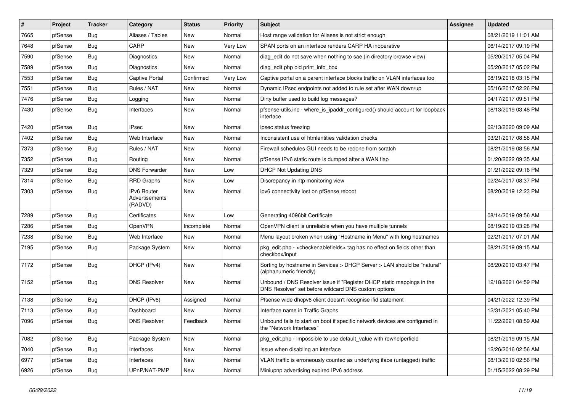| $\vert$ # | Project | <b>Tracker</b> | Category                                 | <b>Status</b> | <b>Priority</b> | <b>Subject</b>                                                                                                                | <b>Assignee</b> | <b>Updated</b>      |
|-----------|---------|----------------|------------------------------------------|---------------|-----------------|-------------------------------------------------------------------------------------------------------------------------------|-----------------|---------------------|
| 7665      | pfSense | Bug            | Aliases / Tables                         | New           | Normal          | Host range validation for Aliases is not strict enough                                                                        |                 | 08/21/2019 11:01 AM |
| 7648      | pfSense | Bug            | CARP                                     | New           | Very Low        | SPAN ports on an interface renders CARP HA inoperative                                                                        |                 | 06/14/2017 09:19 PM |
| 7590      | pfSense | Bug            | Diagnostics                              | New           | Normal          | diag edit do not save when nothing to sae (in directory browse view)                                                          |                 | 05/20/2017 05:04 PM |
| 7589      | pfSense | Bug            | Diagnostics                              | <b>New</b>    | Normal          | diag_edit.php old print_info_box                                                                                              |                 | 05/20/2017 05:02 PM |
| 7553      | pfSense | Bug            | <b>Captive Portal</b>                    | Confirmed     | Very Low        | Captive portal on a parent interface blocks traffic on VLAN interfaces too                                                    |                 | 08/19/2018 03:15 PM |
| 7551      | pfSense | Bug            | Rules / NAT                              | New           | Normal          | Dynamic IPsec endpoints not added to rule set after WAN down/up                                                               |                 | 05/16/2017 02:26 PM |
| 7476      | pfSense | Bug            | Logging                                  | New           | Normal          | Dirty buffer used to build log messages?                                                                                      |                 | 04/17/2017 09:51 PM |
| 7430      | pfSense | Bug            | Interfaces                               | New           | Normal          | pfsense-utils.inc - where_is_ipaddr_configured() should account for loopback<br>interface                                     |                 | 08/13/2019 03:48 PM |
| 7420      | pfSense | Bug            | <b>IPsec</b>                             | New           | Normal          | ipsec status freezing                                                                                                         |                 | 02/13/2020 09:09 AM |
| 7402      | pfSense | Bug            | Web Interface                            | New           | Normal          | Inconsistent use of htmlentities validation checks                                                                            |                 | 03/21/2017 08:58 AM |
| 7373      | pfSense | Bug            | Rules / NAT                              | New           | Normal          | Firewall schedules GUI needs to be redone from scratch                                                                        |                 | 08/21/2019 08:56 AM |
| 7352      | pfSense | Bug            | Routing                                  | New           | Normal          | pfSense IPv6 static route is dumped after a WAN flap                                                                          |                 | 01/20/2022 09:35 AM |
| 7329      | pfSense | Bug            | <b>DNS Forwarder</b>                     | New           | Low             | <b>DHCP Not Updating DNS</b>                                                                                                  |                 | 01/21/2022 09:16 PM |
| 7314      | pfSense | Bug            | <b>RRD Graphs</b>                        | <b>New</b>    | Low             | Discrepancy in ntp monitoring view                                                                                            |                 | 02/24/2017 08:37 PM |
| 7303      | pfSense | Bug            | IPv6 Router<br>Advertisements<br>(RADVD) | New           | Normal          | ipv6 connectivity lost on pfSense reboot                                                                                      |                 | 08/20/2019 12:23 PM |
| 7289      | pfSense | Bug            | Certificates                             | <b>New</b>    | Low             | Generating 4096bit Certificate                                                                                                |                 | 08/14/2019 09:56 AM |
| 7286      | pfSense | Bug            | OpenVPN                                  | Incomplete    | Normal          | OpenVPN client is unreliable when you have multiple tunnels                                                                   |                 | 08/19/2019 03:28 PM |
| 7238      | pfSense | Bug            | Web Interface                            | New           | Normal          | Menu layout broken when using "Hostname in Menu" with long hostnames                                                          |                 | 02/21/2017 07:01 AM |
| 7195      | pfSense | Bug            | Package System                           | New           | Normal          | pkg_edit.php - <checkenablefields> tag has no effect on fields other than<br/>checkbox/input</checkenablefields>              |                 | 08/21/2019 09:15 AM |
| 7172      | pfSense | Bug            | DHCP (IPv4)                              | New           | Normal          | Sorting by hostname in Services > DHCP Server > LAN should be "natural"<br>(alphanumeric friendly)                            |                 | 08/20/2019 03:47 PM |
| 7152      | pfSense | Bug            | <b>DNS Resolver</b>                      | <b>New</b>    | Normal          | Unbound / DNS Resolver issue if "Register DHCP static mappings in the<br>DNS Resolver" set before wildcard DNS custom options |                 | 12/18/2021 04:59 PM |
| 7138      | pfSense | Bug            | DHCP (IPv6)                              | Assigned      | Normal          | Pfsense wide dhcpv6 client doesn't recognise ifid statement                                                                   |                 | 04/21/2022 12:39 PM |
| 7113      | pfSense | <b>Bug</b>     | Dashboard                                | <b>New</b>    | Normal          | Interface name in Traffic Graphs                                                                                              |                 | 12/31/2021 05:40 PM |
| 7096      | pfSense | Bug            | <b>DNS Resolver</b>                      | Feedback      | Normal          | Unbound fails to start on boot if specific network devices are configured in<br>the "Network Interfaces"                      |                 | 11/22/2021 08:59 AM |
| 7082      | pfSense | Bug            | Package System                           | <b>New</b>    | Normal          | pkg_edit.php - impossible to use default_value with rowhelperfield                                                            |                 | 08/21/2019 09:15 AM |
| 7040      | pfSense | <b>Bug</b>     | Interfaces                               | New           | Normal          | Issue when disabling an interface                                                                                             |                 | 12/26/2016 02:56 AM |
| 6977      | pfSense | <b>Bug</b>     | Interfaces                               | New           | Normal          | VLAN traffic is erroneously counted as underlying iface (untagged) traffic                                                    |                 | 08/13/2019 02:56 PM |
| 6926      | pfSense | Bug            | UPnP/NAT-PMP                             | New           | Normal          | Miniupnp advertising expired IPv6 address                                                                                     |                 | 01/15/2022 08:29 PM |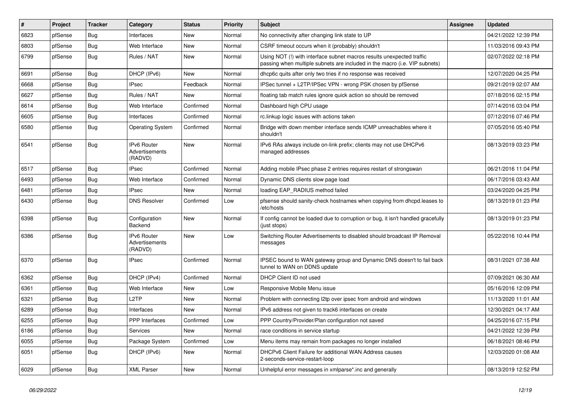| $\vert$ # | Project | <b>Tracker</b> | Category                                 | <b>Status</b> | <b>Priority</b> | <b>Subject</b>                                                                                                                                      | Assignee | <b>Updated</b>      |
|-----------|---------|----------------|------------------------------------------|---------------|-----------------|-----------------------------------------------------------------------------------------------------------------------------------------------------|----------|---------------------|
| 6823      | pfSense | <b>Bug</b>     | Interfaces                               | New           | Normal          | No connectivity after changing link state to UP                                                                                                     |          | 04/21/2022 12:39 PM |
| 6803      | pfSense | <b>Bug</b>     | Web Interface                            | <b>New</b>    | Normal          | CSRF timeout occurs when it (probably) shouldn't                                                                                                    |          | 11/03/2016 09:43 PM |
| 6799      | pfSense | <b>Bug</b>     | Rules / NAT                              | <b>New</b>    | Normal          | Using NOT (!) with interface subnet macros results unexpected traffic<br>passing when multiple subnets are included in the macro (i.e. VIP subnets) |          | 02/07/2022 02:18 PM |
| 6691      | pfSense | <b>Bug</b>     | DHCP (IPv6)                              | <b>New</b>    | Normal          | dhcp6c quits after only two tries if no response was received                                                                                       |          | 12/07/2020 04:25 PM |
| 6668      | pfSense | <b>Bug</b>     | <b>IPsec</b>                             | Feedback      | Normal          | IPSec tunnel + L2TP/IPSec VPN - wrong PSK chosen by pfSense                                                                                         |          | 09/21/2019 02:07 AM |
| 6627      | pfSense | <b>Bug</b>     | Rules / NAT                              | New           | Normal          | floating tab match rules ignore quick action so should be removed                                                                                   |          | 07/18/2016 02:15 PM |
| 6614      | pfSense | <b>Bug</b>     | Web Interface                            | Confirmed     | Normal          | Dashboard high CPU usage                                                                                                                            |          | 07/14/2016 03:04 PM |
| 6605      | pfSense | Bug            | Interfaces                               | Confirmed     | Normal          | rc.linkup logic issues with actions taken                                                                                                           |          | 07/12/2016 07:46 PM |
| 6580      | pfSense | Bug            | <b>Operating System</b>                  | Confirmed     | Normal          | Bridge with down member interface sends ICMP unreachables where it<br>shouldn't                                                                     |          | 07/05/2016 05:40 PM |
| 6541      | pfSense | <b>Bug</b>     | IPv6 Router<br>Advertisements<br>(RADVD) | <b>New</b>    | Normal          | IPv6 RAs always include on-link prefix; clients may not use DHCPv6<br>managed addresses                                                             |          | 08/13/2019 03:23 PM |
| 6517      | pfSense | <b>Bug</b>     | <b>IPsec</b>                             | Confirmed     | Normal          | Adding mobile IPsec phase 2 entries requires restart of strongswan                                                                                  |          | 06/21/2016 11:04 PM |
| 6493      | pfSense | <b>Bug</b>     | Web Interface                            | Confirmed     | Normal          | Dynamic DNS clients slow page load                                                                                                                  |          | 06/17/2016 03:43 AM |
| 6481      | pfSense | <b>Bug</b>     | <b>IPsec</b>                             | New           | Normal          | loading EAP_RADIUS method failed                                                                                                                    |          | 03/24/2020 04:25 PM |
| 6430      | pfSense | <b>Bug</b>     | <b>DNS Resolver</b>                      | Confirmed     | Low             | pfsense should sanity-check hostnames when copying from dhcpd.leases to<br>/etc/hosts                                                               |          | 08/13/2019 01:23 PM |
| 6398      | pfSense | <b>Bug</b>     | Configuration<br><b>Backend</b>          | <b>New</b>    | Normal          | If config cannot be loaded due to corruption or bug, it isn't handled gracefully<br>(just stops)                                                    |          | 08/13/2019 01:23 PM |
| 6386      | pfSense | <b>Bug</b>     | IPv6 Router<br>Advertisements<br>(RADVD) | <b>New</b>    | Low             | Switching Router Advertisements to disabled should broadcast IP Removal<br>messages                                                                 |          | 05/22/2016 10:44 PM |
| 6370      | pfSense | <b>Bug</b>     | <b>IPsec</b>                             | Confirmed     | Normal          | IPSEC bound to WAN gateway group and Dynamic DNS doesn't to fail back<br>tunnel to WAN on DDNS update                                               |          | 08/31/2021 07:38 AM |
| 6362      | pfSense | <b>Bug</b>     | DHCP (IPv4)                              | Confirmed     | Normal          | DHCP Client ID not used                                                                                                                             |          | 07/09/2021 06:30 AM |
| 6361      | pfSense | Bug            | Web Interface                            | New           | Low             | Responsive Mobile Menu issue                                                                                                                        |          | 05/16/2016 12:09 PM |
| 6321      | pfSense | <b>Bug</b>     | L <sub>2</sub> TP                        | <b>New</b>    | Normal          | Problem with connecting I2tp over ipsec from android and windows                                                                                    |          | 11/13/2020 11:01 AM |
| 6289      | pfSense | <b>Bug</b>     | Interfaces                               | New           | Normal          | IPv6 address not given to track6 interfaces on create                                                                                               |          | 12/30/2021 04:17 AM |
| 6255      | pfSense | <b>Bug</b>     | <b>PPP</b> Interfaces                    | Confirmed     | Low             | PPP Country/Provider/Plan configuration not saved                                                                                                   |          | 04/25/2016 07:15 PM |
| 6186      | pfSense | Bug            | Services                                 | New           | Normal          | race conditions in service startup                                                                                                                  |          | 04/21/2022 12:39 PM |
| 6055      | pfSense | <b>Bug</b>     | Package System                           | Confirmed     | Low             | Menu items may remain from packages no longer installed                                                                                             |          | 06/18/2021 08:46 PM |
| 6051      | pfSense | <b>Bug</b>     | DHCP (IPv6)                              | New           | Normal          | DHCPv6 Client Failure for additional WAN Address causes<br>2-seconds-service-restart-loop                                                           |          | 12/03/2020 01:08 AM |
| 6029      | pfSense | <b>Bug</b>     | <b>XML Parser</b>                        | New           | Normal          | Unhelpful error messages in xmlparse*.inc and generally                                                                                             |          | 08/13/2019 12:52 PM |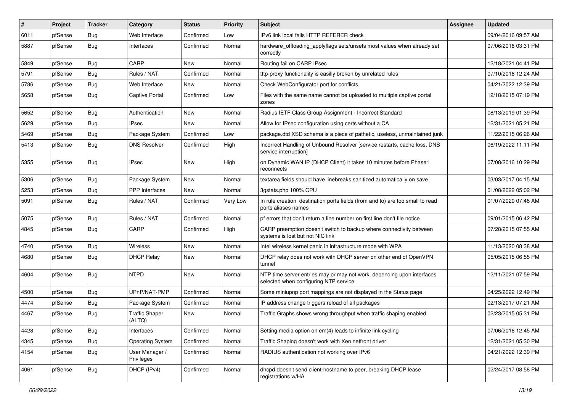| #    | Project | <b>Tracker</b> | Category                        | <b>Status</b> | <b>Priority</b> | <b>Subject</b>                                                                                                  | Assignee | <b>Updated</b>      |
|------|---------|----------------|---------------------------------|---------------|-----------------|-----------------------------------------------------------------------------------------------------------------|----------|---------------------|
| 6011 | pfSense | <b>Bug</b>     | Web Interface                   | Confirmed     | Low             | IPv6 link local fails HTTP REFERER check                                                                        |          | 09/04/2016 09:57 AM |
| 5887 | pfSense | <b>Bug</b>     | Interfaces                      | Confirmed     | Normal          | hardware_offloading_applyflags sets/unsets most values when already set<br>correctly                            |          | 07/06/2016 03:31 PM |
| 5849 | pfSense | <b>Bug</b>     | CARP                            | <b>New</b>    | Normal          | Routing fail on CARP IPsec                                                                                      |          | 12/18/2021 04:41 PM |
| 5791 | pfSense | <b>Bug</b>     | Rules / NAT                     | Confirmed     | Normal          | tftp-proxy functionality is easilly broken by unrelated rules                                                   |          | 07/10/2016 12:24 AM |
| 5786 | pfSense | <b>Bug</b>     | Web Interface                   | <b>New</b>    | Normal          | Check WebConfigurator port for conflicts                                                                        |          | 04/21/2022 12:39 PM |
| 5658 | pfSense | <b>Bug</b>     | <b>Captive Portal</b>           | Confirmed     | Low             | Files with the same name cannot be uploaded to multiple captive portal<br>zones                                 |          | 12/18/2015 07:19 PM |
| 5652 | pfSense | <b>Bug</b>     | Authentication                  | <b>New</b>    | Normal          | Radius IETF Class Group Assignment - Incorrect Standard                                                         |          | 08/13/2019 01:39 PM |
| 5629 | pfSense | <b>Bug</b>     | <b>IPsec</b>                    | <b>New</b>    | Normal          | Allow for IPsec configuration using certs without a CA                                                          |          | 12/31/2021 05:21 PM |
| 5469 | pfSense | Bug            | Package System                  | Confirmed     | Low             | package.dtd XSD schema is a piece of pathetic, useless, unmaintained junk                                       |          | 11/22/2015 06:26 AM |
| 5413 | pfSense | <b>Bug</b>     | <b>DNS Resolver</b>             | Confirmed     | High            | Incorrect Handling of Unbound Resolver [service restarts, cache loss, DNS<br>service interruption]              |          | 06/19/2022 11:11 PM |
| 5355 | pfSense | <b>Bug</b>     | <b>IPsec</b>                    | <b>New</b>    | High            | on Dynamic WAN IP (DHCP Client) it takes 10 minutes before Phase1<br>reconnects                                 |          | 07/08/2016 10:29 PM |
| 5306 | pfSense | <b>Bug</b>     | Package System                  | <b>New</b>    | Normal          | textarea fields should have linebreaks sanitized automatically on save                                          |          | 03/03/2017 04:15 AM |
| 5253 | pfSense | <b>Bug</b>     | <b>PPP</b> Interfaces           | <b>New</b>    | Normal          | 3gstats.php 100% CPU                                                                                            |          | 01/08/2022 05:02 PM |
| 5091 | pfSense | <b>Bug</b>     | Rules / NAT                     | Confirmed     | Very Low        | In rule creation destination ports fields (from and to) are too small to read<br>ports aliases names            |          | 01/07/2020 07:48 AM |
| 5075 | pfSense | <b>Bug</b>     | Rules / NAT                     | Confirmed     | Normal          | pf errors that don't return a line number on first line don't file notice                                       |          | 09/01/2015 06:42 PM |
| 4845 | pfSense | Bug            | CARP                            | Confirmed     | High            | CARP preemption doesn't switch to backup where connectivity between<br>systems is lost but not NIC link         |          | 07/28/2015 07:55 AM |
| 4740 | pfSense | <b>Bug</b>     | Wireless                        | <b>New</b>    | Normal          | Intel wireless kernel panic in infrastructure mode with WPA                                                     |          | 11/13/2020 08:38 AM |
| 4680 | pfSense | <b>Bug</b>     | <b>DHCP Relay</b>               | <b>New</b>    | Normal          | DHCP relay does not work with DHCP server on other end of OpenVPN<br>tunnel                                     |          | 05/05/2015 06:55 PM |
| 4604 | pfSense | <b>Bug</b>     | <b>NTPD</b>                     | <b>New</b>    | Normal          | NTP time server entries may or may not work, depending upon interfaces<br>selected when configuring NTP service |          | 12/11/2021 07:59 PM |
| 4500 | pfSense | <b>Bug</b>     | UPnP/NAT-PMP                    | Confirmed     | Normal          | Some miniupnp port mappings are not displayed in the Status page                                                |          | 04/25/2022 12:49 PM |
| 4474 | pfSense | i Bug          | Package System                  | Confirmed     | Normal          | IP address change triggers reload of all packages                                                               |          | 02/13/2017 07:21 AM |
| 4467 | pfSense | <b>Bug</b>     | <b>Traffic Shaper</b><br>(ALTQ) | <b>New</b>    | Normal          | Traffic Graphs shows wrong throughput when traffic shaping enabled                                              |          | 02/23/2015 05:31 PM |
| 4428 | pfSense | <b>Bug</b>     | Interfaces                      | Confirmed     | Normal          | Setting media option on em(4) leads to infinite link cycling                                                    |          | 07/06/2016 12:45 AM |
| 4345 | pfSense | <b>Bug</b>     | <b>Operating System</b>         | Confirmed     | Normal          | Traffic Shaping doesn't work with Xen netfront driver                                                           |          | 12/31/2021 05:30 PM |
| 4154 | pfSense | <b>Bug</b>     | User Manager /<br>Privileges    | Confirmed     | Normal          | RADIUS authentication not working over IPv6                                                                     |          | 04/21/2022 12:39 PM |
| 4061 | pfSense | <b>Bug</b>     | DHCP (IPv4)                     | Confirmed     | Normal          | dhcpd doesn't send client-hostname to peer, breaking DHCP lease<br>registrations w/HA                           |          | 02/24/2017 08:58 PM |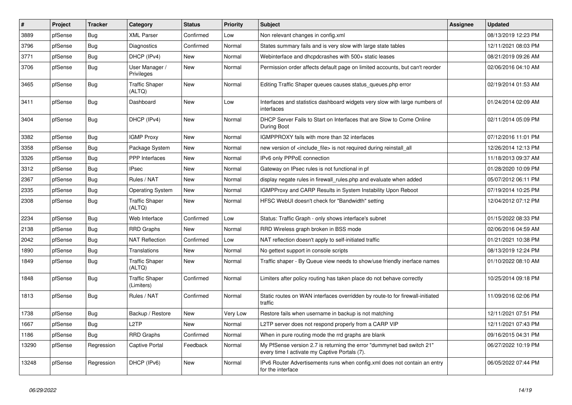| $\vert$ # | Project | <b>Tracker</b> | Category                            | <b>Status</b> | <b>Priority</b> | <b>Subject</b>                                                                                                          | Assignee | <b>Updated</b>      |
|-----------|---------|----------------|-------------------------------------|---------------|-----------------|-------------------------------------------------------------------------------------------------------------------------|----------|---------------------|
| 3889      | pfSense | Bug            | <b>XML Parser</b>                   | Confirmed     | Low             | Non relevant changes in config.xml                                                                                      |          | 08/13/2019 12:23 PM |
| 3796      | pfSense | Bug            | Diagnostics                         | Confirmed     | Normal          | States summary fails and is very slow with large state tables                                                           |          | 12/11/2021 08:03 PM |
| 3771      | pfSense | Bug            | DHCP (IPv4)                         | New           | Normal          | Webinterface and dhcpdcrashes with 500+ static leases                                                                   |          | 08/21/2019 09:26 AM |
| 3706      | pfSense | <b>Bug</b>     | User Manager /<br>Privileges        | New           | Normal          | Permission order affects default page on limited accounts, but can't reorder                                            |          | 02/06/2016 04:10 AM |
| 3465      | pfSense | <b>Bug</b>     | <b>Traffic Shaper</b><br>(ALTQ)     | <b>New</b>    | Normal          | Editing Traffic Shaper queues causes status_queues.php error                                                            |          | 02/19/2014 01:53 AM |
| 3411      | pfSense | Bug            | Dashboard                           | New           | Low             | Interfaces and statistics dashboard widgets very slow with large numbers of<br>interfaces                               |          | 01/24/2014 02:09 AM |
| 3404      | pfSense | Bug            | DHCP (IPv4)                         | New           | Normal          | DHCP Server Fails to Start on Interfaces that are Slow to Come Online<br>During Boot                                    |          | 02/11/2014 05:09 PM |
| 3382      | pfSense | <b>Bug</b>     | <b>IGMP Proxy</b>                   | New           | Normal          | IGMPPROXY fails with more than 32 interfaces                                                                            |          | 07/12/2016 11:01 PM |
| 3358      | pfSense | <b>Bug</b>     | Package System                      | New           | Normal          | new version of <include file=""> is not required during reinstall all</include>                                         |          | 12/26/2014 12:13 PM |
| 3326      | pfSense | <b>Bug</b>     | PPP Interfaces                      | New           | Normal          | IPv6 only PPPoE connection                                                                                              |          | 11/18/2013 09:37 AM |
| 3312      | pfSense | <b>Bug</b>     | <b>IPsec</b>                        | New           | Normal          | Gateway on IPsec rules is not functional in pf                                                                          |          | 01/28/2020 10:09 PM |
| 2367      | pfSense | Bug            | Rules / NAT                         | New           | Normal          | display negate rules in firewall_rules.php and evaluate when added                                                      |          | 05/07/2012 06:11 PM |
| 2335      | pfSense | <b>Bug</b>     | <b>Operating System</b>             | New           | Normal          | <b>IGMPProxy and CARP Results in System Instability Upon Reboot</b>                                                     |          | 07/19/2014 10:25 PM |
| 2308      | pfSense | <b>Bug</b>     | <b>Traffic Shaper</b><br>(ALTQ)     | New           | Normal          | HFSC WebUI doesn't check for "Bandwidth" setting                                                                        |          | 12/04/2012 07:12 PM |
| 2234      | pfSense | Bug            | Web Interface                       | Confirmed     | Low             | Status: Traffic Graph - only shows interface's subnet                                                                   |          | 01/15/2022 08:33 PM |
| 2138      | pfSense | Bug            | <b>RRD Graphs</b>                   | <b>New</b>    | Normal          | RRD Wireless graph broken in BSS mode                                                                                   |          | 02/06/2016 04:59 AM |
| 2042      | pfSense | Bug            | <b>NAT Reflection</b>               | Confirmed     | Low             | NAT reflection doesn't apply to self-initiated traffic                                                                  |          | 01/21/2021 10:38 PM |
| 1890      | pfSense | <b>Bug</b>     | Translations                        | <b>New</b>    | Normal          | No gettext support in console scripts                                                                                   |          | 08/13/2019 12:24 PM |
| 1849      | pfSense | Bug            | <b>Traffic Shaper</b><br>(ALTQ)     | <b>New</b>    | Normal          | Traffic shaper - By Queue view needs to show/use friendly inerface names                                                |          | 01/10/2022 08:10 AM |
| 1848      | pfSense | Bug            | <b>Traffic Shaper</b><br>(Limiters) | Confirmed     | Normal          | Limiters after policy routing has taken place do not behave correctly                                                   |          | 10/25/2014 09:18 PM |
| 1813      | pfSense | <b>Bug</b>     | Rules / NAT                         | Confirmed     | Normal          | Static routes on WAN interfaces overridden by route-to for firewall-initiated<br>traffic                                |          | 11/09/2016 02:06 PM |
| 1738      | pfSense | Bug            | Backup / Restore                    | New           | Very Low        | Restore fails when username in backup is not matching                                                                   |          | 12/11/2021 07:51 PM |
| 1667      | pfSense | <b>Bug</b>     | L2TP                                | New           | Normal          | L2TP server does not respond properly from a CARP VIP                                                                   |          | 12/11/2021 07:43 PM |
| 1186      | pfSense | <b>Bug</b>     | <b>RRD Graphs</b>                   | Confirmed     | Normal          | When in pure routing mode the rrd graphs are blank                                                                      |          | 09/16/2015 04:31 PM |
| 13290     | pfSense | Regression     | Captive Portal                      | Feedback      | Normal          | My PfSense version 2.7 is returning the error "dummynet bad switch 21"<br>every time I activate my Captive Portals (7). |          | 06/27/2022 10:19 PM |
| 13248     | pfSense | Regression     | DHCP (IPv6)                         | New           | Normal          | IPv6 Router Advertisements runs when config.xml does not contain an entry<br>for the interface                          |          | 06/05/2022 07:44 PM |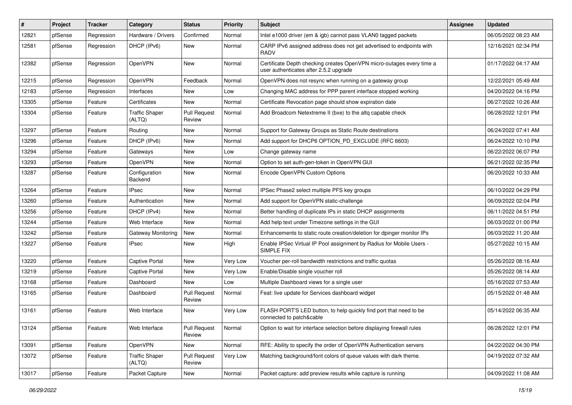| $\vert$ # | Project | <b>Tracker</b> | Category                        | <b>Status</b>                 | <b>Priority</b> | <b>Subject</b>                                                                                                  | Assignee | <b>Updated</b>      |
|-----------|---------|----------------|---------------------------------|-------------------------------|-----------------|-----------------------------------------------------------------------------------------------------------------|----------|---------------------|
| 12821     | pfSense | Regression     | Hardware / Drivers              | Confirmed                     | Normal          | Intel e1000 driver (em & igb) cannot pass VLAN0 tagged packets                                                  |          | 06/05/2022 08:23 AM |
| 12581     | pfSense | Regression     | DHCP (IPv6)                     | New                           | Normal          | CARP IPv6 assigned address does not get advertised to endpoints with<br><b>RADV</b>                             |          | 12/16/2021 02:34 PM |
| 12382     | pfSense | Regression     | OpenVPN                         | <b>New</b>                    | Normal          | Certificate Depth checking creates OpenVPN micro-outages every time a<br>user authenticates after 2.5.2 upgrade |          | 01/17/2022 04:17 AM |
| 12215     | pfSense | Regression     | OpenVPN                         | Feedback                      | Normal          | OpenVPN does not resync when running on a gateway group                                                         |          | 12/22/2021 05:49 AM |
| 12183     | pfSense | Regression     | Interfaces                      | <b>New</b>                    | Low             | Changing MAC address for PPP parent interface stopped working                                                   |          | 04/20/2022 04:16 PM |
| 13305     | pfSense | Feature        | Certificates                    | <b>New</b>                    | Normal          | Certificate Revocation page should show expiration date                                                         |          | 06/27/2022 10:26 AM |
| 13304     | pfSense | Feature        | <b>Traffic Shaper</b><br>(ALTQ) | <b>Pull Request</b><br>Review | Normal          | Add Broadcom Netextreme II (bxe) to the altg capable check                                                      |          | 06/28/2022 12:01 PM |
| 13297     | pfSense | Feature        | Routing                         | New                           | Normal          | Support for Gateway Groups as Static Route destinations                                                         |          | 06/24/2022 07:41 AM |
| 13296     | pfSense | Feature        | DHCP (IPv6)                     | <b>New</b>                    | Normal          | Add support for DHCP6 OPTION_PD_EXCLUDE (RFC 6603)                                                              |          | 06/24/2022 10:10 PM |
| 13294     | pfSense | Feature        | Gateways                        | <b>New</b>                    | Low             | Change gateway name                                                                                             |          | 06/22/2022 06:07 PM |
| 13293     | pfSense | Feature        | OpenVPN                         | New                           | Normal          | Option to set auth-gen-token in OpenVPN GUI                                                                     |          | 06/21/2022 02:35 PM |
| 13287     | pfSense | Feature        | Configuration<br>Backend        | New                           | Normal          | Encode OpenVPN Custom Options                                                                                   |          | 06/20/2022 10:33 AM |
| 13264     | pfSense | Feature        | <b>IPsec</b>                    | <b>New</b>                    | Normal          | IPSec Phase2 select multiple PFS key groups                                                                     |          | 06/10/2022 04:29 PM |
| 13260     | pfSense | Feature        | Authentication                  | New                           | Normal          | Add support for OpenVPN static-challenge                                                                        |          | 06/09/2022 02:04 PM |
| 13256     | pfSense | Feature        | DHCP (IPv4)                     | New                           | Normal          | Better handling of duplicate IPs in static DHCP assignments                                                     |          | 06/11/2022 04:51 PM |
| 13244     | pfSense | Feature        | Web Interface                   | <b>New</b>                    | Normal          | Add help text under Timezone settings in the GUI                                                                |          | 06/03/2022 01:00 PM |
| 13242     | pfSense | Feature        | <b>Gateway Monitoring</b>       | <b>New</b>                    | Normal          | Enhancements to static route creation/deletion for dpinger monitor IPs                                          |          | 06/03/2022 11:20 AM |
| 13227     | pfSense | Feature        | <b>IPsec</b>                    | <b>New</b>                    | High            | Enable IPSec Virtual IP Pool assignment by Radius for Mobile Users -<br><b>SIMPLE FIX</b>                       |          | 05/27/2022 10:15 AM |
| 13220     | pfSense | Feature        | <b>Captive Portal</b>           | New                           | Very Low        | Voucher per-roll bandwidth restrictions and traffic quotas                                                      |          | 05/26/2022 08:16 AM |
| 13219     | pfSense | Feature        | <b>Captive Portal</b>           | New                           | Very Low        | Enable/Disable single voucher roll                                                                              |          | 05/26/2022 08:14 AM |
| 13168     | pfSense | Feature        | Dashboard                       | <b>New</b>                    | Low             | Multiple Dashboard views for a single user                                                                      |          | 05/16/2022 07:53 AM |
| 13165     | pfSense | Feature        | Dashboard                       | <b>Pull Request</b><br>Review | Normal          | Feat: live update for Services dashboard widget                                                                 |          | 05/15/2022 01:48 AM |
| 13161     | pfSense | Feature        | Web Interface                   | <b>New</b>                    | Very Low        | FLASH PORT'S LED button, to help quickly find port that need to be<br>connected to patch&cable                  |          | 05/14/2022 06:35 AM |
| 13124     | pfSense | Feature        | Web Interface                   | <b>Pull Request</b><br>Review | Normal          | Option to wait for interface selection before displaying firewall rules                                         |          | 06/28/2022 12:01 PM |
| 13091     | pfSense | Feature        | OpenVPN                         | New                           | Normal          | RFE: Ability to specify the order of OpenVPN Authentication servers                                             |          | 04/22/2022 04:30 PM |
| 13072     | pfSense | Feature        | <b>Traffic Shaper</b><br>(ALTQ) | <b>Pull Request</b><br>Review | Very Low        | Matching background/font colors of queue values with dark theme.                                                |          | 04/19/2022 07:32 AM |
| 13017     | pfSense | Feature        | Packet Capture                  | New                           | Normal          | Packet capture: add preview results while capture is running                                                    |          | 04/09/2022 11:08 AM |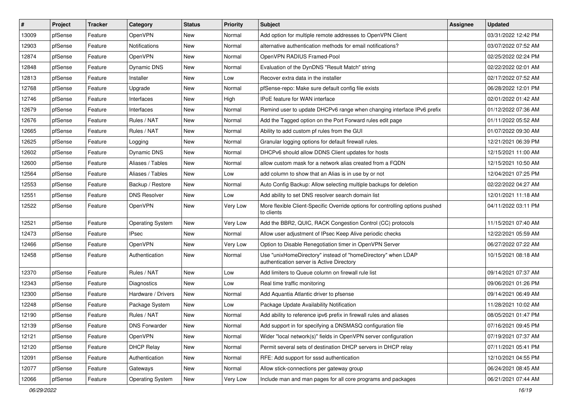| #     | Project | <b>Tracker</b> | Category                | <b>Status</b> | <b>Priority</b> | <b>Subject</b>                                                                                            | <b>Assignee</b> | <b>Updated</b>      |
|-------|---------|----------------|-------------------------|---------------|-----------------|-----------------------------------------------------------------------------------------------------------|-----------------|---------------------|
| 13009 | pfSense | Feature        | OpenVPN                 | <b>New</b>    | Normal          | Add option for multiple remote addresses to OpenVPN Client                                                |                 | 03/31/2022 12:42 PM |
| 12903 | pfSense | Feature        | <b>Notifications</b>    | New           | Normal          | alternative authentication methods for email notifications?                                               |                 | 03/07/2022 07:52 AM |
| 12874 | pfSense | Feature        | OpenVPN                 | New           | Normal          | OpenVPN RADIUS Framed-Pool                                                                                |                 | 02/25/2022 02:24 PM |
| 12848 | pfSense | Feature        | <b>Dynamic DNS</b>      | New           | Normal          | Evaluation of the DynDNS "Result Match" string                                                            |                 | 02/22/2022 02:01 AM |
| 12813 | pfSense | Feature        | Installer               | New           | Low             | Recover extra data in the installer                                                                       |                 | 02/17/2022 07:52 AM |
| 12768 | pfSense | Feature        | Upgrade                 | New           | Normal          | pfSense-repo: Make sure default config file exists                                                        |                 | 06/28/2022 12:01 PM |
| 12746 | pfSense | Feature        | Interfaces              | New           | High            | <b>IPoE</b> feature for WAN interface                                                                     |                 | 02/01/2022 01:42 AM |
| 12679 | pfSense | Feature        | Interfaces              | <b>New</b>    | Normal          | Remind user to update DHCPv6 range when changing interface IPv6 prefix                                    |                 | 01/12/2022 07:36 AM |
| 12676 | pfSense | Feature        | Rules / NAT             | New           | Normal          | Add the Tagged option on the Port Forward rules edit page                                                 |                 | 01/11/2022 05:52 AM |
| 12665 | pfSense | Feature        | Rules / NAT             | New           | Normal          | Ability to add custom pf rules from the GUI                                                               |                 | 01/07/2022 09:30 AM |
| 12625 | pfSense | Feature        | Logging                 | New           | Normal          | Granular logging options for default firewall rules.                                                      |                 | 12/21/2021 06:39 PM |
| 12602 | pfSense | Feature        | <b>Dynamic DNS</b>      | <b>New</b>    | Normal          | DHCPv6 should allow DDNS Client updates for hosts                                                         |                 | 12/15/2021 11:00 AM |
| 12600 | pfSense | Feature        | Aliases / Tables        | <b>New</b>    | Normal          | allow custom mask for a network alias created from a FQDN                                                 |                 | 12/15/2021 10:50 AM |
| 12564 | pfSense | Feature        | Aliases / Tables        | New           | Low             | add column to show that an Alias is in use by or not                                                      |                 | 12/04/2021 07:25 PM |
| 12553 | pfSense | Feature        | Backup / Restore        | New           | Normal          | Auto Config Backup: Allow selecting multiple backups for deletion                                         |                 | 02/22/2022 04:27 AM |
| 12551 | pfSense | Feature        | <b>DNS Resolver</b>     | New           | Low             | Add ability to set DNS resolver search domain list                                                        |                 | 12/01/2021 11:18 AM |
| 12522 | pfSense | Feature        | OpenVPN                 | New           | Very Low        | More flexible Client-Specific Override options for controlling options pushed<br>to clients               |                 | 04/11/2022 03:11 PM |
| 12521 | pfSense | Feature        | <b>Operating System</b> | New           | Very Low        | Add the BBR2, QUIC, RACK Congestion Control (CC) protocols                                                |                 | 11/15/2021 07:40 AM |
| 12473 | pfSense | Feature        | <b>IPsec</b>            | New           | Normal          | Allow user adjustment of IPsec Keep Alive periodic checks                                                 |                 | 12/22/2021 05:59 AM |
| 12466 | pfSense | Feature        | OpenVPN                 | New           | Very Low        | Option to Disable Renegotiation timer in OpenVPN Server                                                   |                 | 06/27/2022 07:22 AM |
| 12458 | pfSense | Feature        | Authentication          | New           | Normal          | Use "unixHomeDirectory" instead of "homeDirectory" when LDAP<br>authentication server is Active Directory |                 | 10/15/2021 08:18 AM |
| 12370 | pfSense | Feature        | Rules / NAT             | New           | Low             | Add limiters to Queue column on firewall rule list                                                        |                 | 09/14/2021 07:37 AM |
| 12343 | pfSense | Feature        | <b>Diagnostics</b>      | <b>New</b>    | Low             | Real time traffic monitoring                                                                              |                 | 09/06/2021 01:26 PM |
| 12300 | pfSense | Feature        | Hardware / Drivers      | New           | Normal          | Add Aquantia Atlantic driver to pfsense                                                                   |                 | 09/14/2021 06:49 AM |
| 12248 | pfSense | Feature        | Package System          | New           | Low             | Package Update Availability Notification                                                                  |                 | 11/28/2021 10:02 AM |
| 12190 | pfSense | Feature        | Rules / NAT             | New           | Normal          | Add ability to reference ipv6 prefix in firewall rules and aliases                                        |                 | 08/05/2021 01:47 PM |
| 12139 | pfSense | Feature        | <b>DNS Forwarder</b>    | New           | Normal          | Add support in for specifying a DNSMASQ configuration file                                                |                 | 07/16/2021 09:45 PM |
| 12121 | pfSense | Feature        | OpenVPN                 | New           | Normal          | Wider "local network(s)" fields in OpenVPN server configuration                                           |                 | 07/19/2021 07:37 AM |
| 12120 | pfSense | Feature        | <b>DHCP Relay</b>       | New           | Normal          | Permit several sets of destination DHCP servers in DHCP relay                                             |                 | 07/11/2021 05:41 PM |
| 12091 | pfSense | Feature        | Authentication          | New           | Normal          | RFE: Add support for sssd authentication                                                                  |                 | 12/10/2021 04:55 PM |
| 12077 | pfSense | Feature        | Gateways                | New           | Normal          | Allow stick-connections per gateway group                                                                 |                 | 06/24/2021 08:45 AM |
| 12066 | pfSense | Feature        | <b>Operating System</b> | New           | Very Low        | Include man and man pages for all core programs and packages                                              |                 | 06/21/2021 07:44 AM |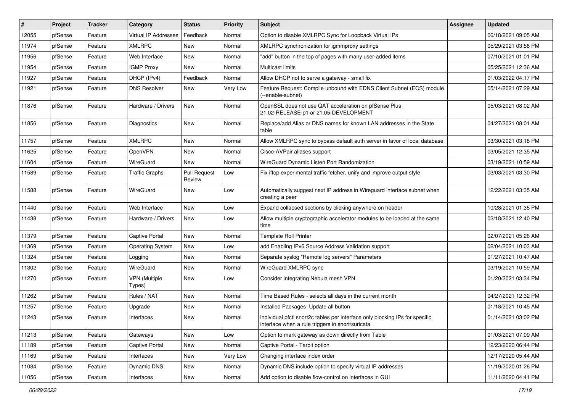| #     | Project | <b>Tracker</b> | Category                       | <b>Status</b>                 | <b>Priority</b> | <b>Subject</b>                                                                                                                   | Assignee | <b>Updated</b>      |
|-------|---------|----------------|--------------------------------|-------------------------------|-----------------|----------------------------------------------------------------------------------------------------------------------------------|----------|---------------------|
| 12055 | pfSense | Feature        | Virtual IP Addresses           | Feedback                      | Normal          | Option to disable XMLRPC Sync for Loopback Virtual IPs                                                                           |          | 06/18/2021 09:05 AM |
| 11974 | pfSense | Feature        | <b>XMLRPC</b>                  | <b>New</b>                    | Normal          | XMLRPC synchronization for igmmproxy settings                                                                                    |          | 05/29/2021 03:58 PM |
| 11956 | pfSense | Feature        | Web Interface                  | <b>New</b>                    | Normal          | "add" button in the top of pages with many user-added items                                                                      |          | 07/10/2021 01:01 PM |
| 11954 | pfSense | Feature        | <b>IGMP Proxy</b>              | New                           | Normal          | Multicast limits                                                                                                                 |          | 05/25/2021 12:36 AM |
| 11927 | pfSense | Feature        | DHCP (IPv4)                    | Feedback                      | Normal          | Allow DHCP not to serve a gateway - small fix                                                                                    |          | 01/03/2022 04:17 PM |
| 11921 | pfSense | Feature        | <b>DNS Resolver</b>            | New                           | Very Low        | Feature Request: Compile unbound with EDNS Client Subnet (ECS) module<br>(--enable-subnet)                                       |          | 05/14/2021 07:29 AM |
| 11876 | pfSense | Feature        | Hardware / Drivers             | <b>New</b>                    | Normal          | OpenSSL does not use QAT acceleration on pfSense Plus<br>21.02-RELEASE-p1 or 21.05-DEVELOPMENT                                   |          | 05/03/2021 08:02 AM |
| 11856 | pfSense | Feature        | Diagnostics                    | New                           | Normal          | Replace/add Alias or DNS names for known LAN addresses in the State<br>table                                                     |          | 04/27/2021 08:01 AM |
| 11757 | pfSense | Feature        | <b>XMLRPC</b>                  | <b>New</b>                    | Normal          | Allow XMLRPC sync to bypass default auth server in favor of local database                                                       |          | 03/30/2021 03:18 PM |
| 11625 | pfSense | Feature        | OpenVPN                        | <b>New</b>                    | Normal          | Cisco-AVPair aliases support                                                                                                     |          | 03/05/2021 12:35 AM |
| 11604 | pfSense | Feature        | WireGuard                      | New                           | Normal          | WireGuard Dynamic Listen Port Randomization                                                                                      |          | 03/19/2021 10:59 AM |
| 11589 | pfSense | Feature        | <b>Traffic Graphs</b>          | <b>Pull Request</b><br>Review | Low             | Fix iftop experimental traffic fetcher, unify and improve output style                                                           |          | 03/03/2021 03:30 PM |
| 11588 | pfSense | Feature        | WireGuard                      | New                           | Low             | Automatically suggest next IP address in Wireguard interface subnet when<br>creating a peer                                      |          | 12/22/2021 03:35 AM |
| 11440 | pfSense | Feature        | Web Interface                  | New                           | Low             | Expand collapsed sections by clicking anywhere on header                                                                         |          | 10/28/2021 01:35 PM |
| 11438 | pfSense | Feature        | Hardware / Drivers             | New                           | Low             | Allow multiple cryptographic accelerator modules to be loaded at the same<br>time                                                |          | 02/18/2021 12:40 PM |
| 11379 | pfSense | Feature        | <b>Captive Portal</b>          | <b>New</b>                    | Normal          | <b>Template Roll Printer</b>                                                                                                     |          | 02/07/2021 05:26 AM |
| 11369 | pfSense | Feature        | <b>Operating System</b>        | New                           | Low             | add Enabling IPv6 Source Address Validation support                                                                              |          | 02/04/2021 10:03 AM |
| 11324 | pfSense | Feature        | Logging                        | <b>New</b>                    | Normal          | Separate syslog "Remote log servers" Parameters                                                                                  |          | 01/27/2021 10:47 AM |
| 11302 | pfSense | Feature        | WireGuard                      | New                           | Normal          | WireGuard XMLRPC sync                                                                                                            |          | 03/19/2021 10:59 AM |
| 11270 | pfSense | Feature        | <b>VPN</b> (Multiple<br>Types) | New                           | Low             | Consider integrating Nebula mesh VPN                                                                                             |          | 01/20/2021 03:34 PM |
| 11262 | pfSense | Feature        | Rules / NAT                    | <b>New</b>                    | Normal          | Time Based Rules - selects all days in the current month                                                                         |          | 04/27/2021 12:32 PM |
| 11257 | pfSense | Feature        | Upgrade                        | New                           | Normal          | Installed Packages: Update all button                                                                                            |          | 01/18/2021 10:45 AM |
| 11243 | pfSense | Feature        | Interfaces                     | New                           | Normal          | individual pfctl snort2c tables per interface only blocking IPs for specific<br>interface when a rule triggers in snort/suricata |          | 01/14/2021 03:02 PM |
| 11213 | pfSense | Feature        | Gateways                       | New                           | Low             | Option to mark gateway as down directly from Table                                                                               |          | 01/03/2021 07:09 AM |
| 11189 | pfSense | Feature        | Captive Portal                 | New                           | Normal          | Captive Portal - Tarpit option                                                                                                   |          | 12/23/2020 06:44 PM |
| 11169 | pfSense | Feature        | Interfaces                     | New                           | Very Low        | Changing interface index order                                                                                                   |          | 12/17/2020 05:44 AM |
| 11084 | pfSense | Feature        | Dynamic DNS                    | New                           | Normal          | Dynamic DNS include option to specify virtual IP addresses                                                                       |          | 11/19/2020 01:26 PM |
| 11056 | pfSense | Feature        | Interfaces                     | New                           | Normal          | Add option to disable flow-control on interfaces in GUI                                                                          |          | 11/11/2020 04:41 PM |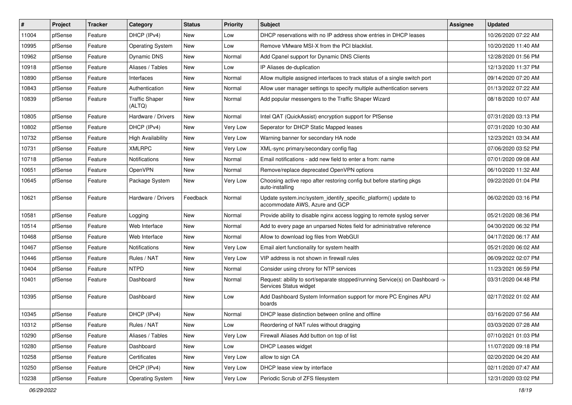| $\vert$ # | Project | <b>Tracker</b> | Category                        | <b>Status</b> | <b>Priority</b> | <b>Subject</b>                                                                                         | <b>Assignee</b> | <b>Updated</b>      |
|-----------|---------|----------------|---------------------------------|---------------|-----------------|--------------------------------------------------------------------------------------------------------|-----------------|---------------------|
| 11004     | pfSense | Feature        | DHCP (IPv4)                     | New           | Low             | DHCP reservations with no IP address show entries in DHCP leases                                       |                 | 10/26/2020 07:22 AM |
| 10995     | pfSense | Feature        | <b>Operating System</b>         | New           | Low             | Remove VMware MSI-X from the PCI blacklist.                                                            |                 | 10/20/2020 11:40 AM |
| 10962     | pfSense | Feature        | Dynamic DNS                     | New           | Normal          | Add Cpanel support for Dynamic DNS Clients                                                             |                 | 12/28/2020 01:56 PM |
| 10918     | pfSense | Feature        | Aliases / Tables                | New           | Low             | IP Aliases de-duplication                                                                              |                 | 12/13/2020 11:37 PM |
| 10890     | pfSense | Feature        | Interfaces                      | New           | Normal          | Allow multiple assigned interfaces to track status of a single switch port                             |                 | 09/14/2020 07:20 AM |
| 10843     | pfSense | Feature        | Authentication                  | New           | Normal          | Allow user manager settings to specify multiple authentication servers                                 |                 | 01/13/2022 07:22 AM |
| 10839     | pfSense | Feature        | <b>Traffic Shaper</b><br>(ALTQ) | New           | Normal          | Add popular messengers to the Traffic Shaper Wizard                                                    |                 | 08/18/2020 10:07 AM |
| 10805     | pfSense | Feature        | Hardware / Drivers              | New           | Normal          | Intel QAT (QuickAssist) encryption support for PfSense                                                 |                 | 07/31/2020 03:13 PM |
| 10802     | pfSense | Feature        | DHCP (IPv4)                     | New           | Very Low        | Seperator for DHCP Static Mapped leases                                                                |                 | 07/31/2020 10:30 AM |
| 10732     | pfSense | Feature        | <b>High Availability</b>        | New           | Very Low        | Warning banner for secondary HA node                                                                   |                 | 12/23/2021 03:34 AM |
| 10731     | pfSense | Feature        | <b>XMLRPC</b>                   | New           | Very Low        | XML-sync primary/secondary config flag                                                                 |                 | 07/06/2020 03:52 PM |
| 10718     | pfSense | Feature        | <b>Notifications</b>            | New           | Normal          | Email notifications - add new field to enter a from: name                                              |                 | 07/01/2020 09:08 AM |
| 10651     | pfSense | Feature        | OpenVPN                         | New           | Normal          | Remove/replace deprecated OpenVPN options                                                              |                 | 06/10/2020 11:32 AM |
| 10645     | pfSense | Feature        | Package System                  | New           | Very Low        | Choosing active repo after restoring config but before starting pkgs<br>auto-installing                |                 | 09/22/2020 01:04 PM |
| 10621     | pfSense | Feature        | Hardware / Drivers              | Feedback      | Normal          | Update system.inc/system_identify_specific_platform() update to<br>accommodate AWS, Azure and GCP      |                 | 06/02/2020 03:16 PM |
| 10581     | pfSense | Feature        | Logging                         | New           | Normal          | Provide ability to disable nginx access logging to remote syslog server                                |                 | 05/21/2020 08:36 PM |
| 10514     | pfSense | Feature        | Web Interface                   | New           | Normal          | Add to every page an unparsed Notes field for administrative reference                                 |                 | 04/30/2020 06:32 PM |
| 10468     | pfSense | Feature        | Web Interface                   | New           | Normal          | Allow to download log files from WebGUI                                                                |                 | 04/17/2020 06:17 AM |
| 10467     | pfSense | Feature        | <b>Notifications</b>            | New           | Very Low        | Email alert functionality for system health                                                            |                 | 05/21/2020 06:02 AM |
| 10446     | pfSense | Feature        | Rules / NAT                     | New           | Very Low        | VIP address is not shown in firewall rules                                                             |                 | 06/09/2022 02:07 PM |
| 10404     | pfSense | Feature        | <b>NTPD</b>                     | New           | Normal          | Consider using chrony for NTP services                                                                 |                 | 11/23/2021 06:59 PM |
| 10401     | pfSense | Feature        | Dashboard                       | New           | Normal          | Request: ability to sort/separate stopped/running Service(s) on Dashboard -><br>Services Status widget |                 | 03/31/2020 04:48 PM |
| 10395     | pfSense | Feature        | Dashboard                       | New           | Low             | Add Dashboard System Information support for more PC Engines APU<br>boards                             |                 | 02/17/2022 01:02 AM |
| 10345     | pfSense | Feature        | DHCP (IPv4)                     | New           | Normal          | DHCP lease distinction between online and offline                                                      |                 | 03/16/2020 07:56 AM |
| 10312     | pfSense | Feature        | Rules / NAT                     | New           | Low             | Reordering of NAT rules without dragging                                                               |                 | 03/03/2020 07:28 AM |
| 10290     | pfSense | Feature        | Aliases / Tables                | New           | Very Low        | Firewall Aliases Add button on top of list                                                             |                 | 07/10/2021 01:03 PM |
| 10280     | pfSense | Feature        | Dashboard                       | New           | Low             | <b>DHCP Leases widget</b>                                                                              |                 | 11/07/2020 09:18 PM |
| 10258     | pfSense | Feature        | Certificates                    | New           | Very Low        | allow to sign CA                                                                                       |                 | 02/20/2020 04:20 AM |
| 10250     | pfSense | Feature        | DHCP (IPv4)                     | New           | Very Low        | DHCP lease view by interface                                                                           |                 | 02/11/2020 07:47 AM |
| 10238     | pfSense | Feature        | <b>Operating System</b>         | New           | Very Low        | Periodic Scrub of ZFS filesystem                                                                       |                 | 12/31/2020 03:02 PM |